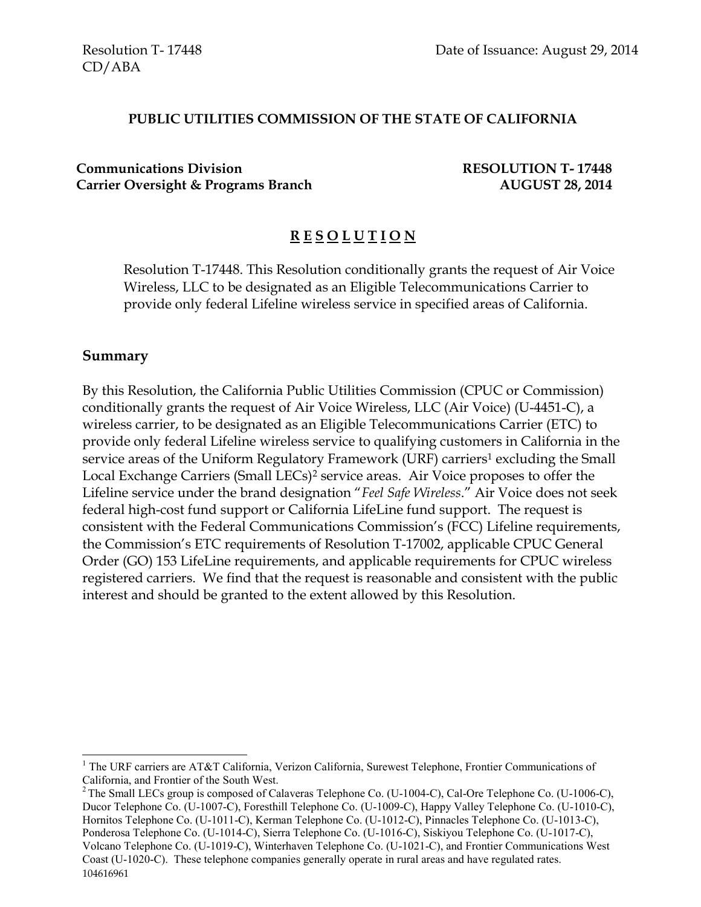#### **PUBLIC UTILITIES COMMISSION OF THE STATE OF CALIFORNIA**

**Communications Division RESOLUTION T- 17448 Carrier Oversight & Programs Branch AUGUST 28, 2014**

# **R E S O L U T I O N**

Resolution T-17448. This Resolution conditionally grants the request of Air Voice Wireless, LLC to be designated as an Eligible Telecommunications Carrier to provide only federal Lifeline wireless service in specified areas of California.

#### **Summary**

 $\overline{a}$ 

By this Resolution, the California Public Utilities Commission (CPUC or Commission) conditionally grants the request of Air Voice Wireless, LLC (Air Voice) (U-4451-C), a wireless carrier, to be designated as an Eligible Telecommunications Carrier (ETC) to provide only federal Lifeline wireless service to qualifying customers in California in the service areas of the Uniform Regulatory Framework (URF) carriers<sup>1</sup> excluding the Small Local Exchange Carriers (Small LECs)<sup>2</sup> service areas. Air Voice proposes to offer the Lifeline service under the brand designation "*Feel Safe Wireless*." Air Voice does not seek federal high-cost fund support or California LifeLine fund support. The request is consistent with the Federal Communications Commission's (FCC) Lifeline requirements, the Commission's ETC requirements of Resolution T-17002, applicable CPUC General Order (GO) 153 LifeLine requirements, and applicable requirements for CPUC wireless registered carriers. We find that the request is reasonable and consistent with the public interest and should be granted to the extent allowed by this Resolution.

<sup>&</sup>lt;sup>1</sup> The URF carriers are AT&T California, Verizon California, Surewest Telephone, Frontier Communications of California, and Frontier of the South West.

<sup>104616961</sup> <sup>2</sup> The Small LECs group is composed of Calaveras Telephone Co. (U-1004-C), Cal-Ore Telephone Co. (U-1006-C), Ducor Telephone Co. (U-1007-C), Foresthill Telephone Co. (U-1009-C), Happy Valley Telephone Co. (U-1010-C), Hornitos Telephone Co. (U-1011-C), Kerman Telephone Co. (U-1012-C), Pinnacles Telephone Co. (U-1013-C), Ponderosa Telephone Co. (U-1014-C), Sierra Telephone Co. (U-1016-C), Siskiyou Telephone Co. (U-1017-C), Volcano Telephone Co. (U-1019-C), Winterhaven Telephone Co. (U-1021-C), and Frontier Communications West Coast (U-1020-C). These telephone companies generally operate in rural areas and have regulated rates.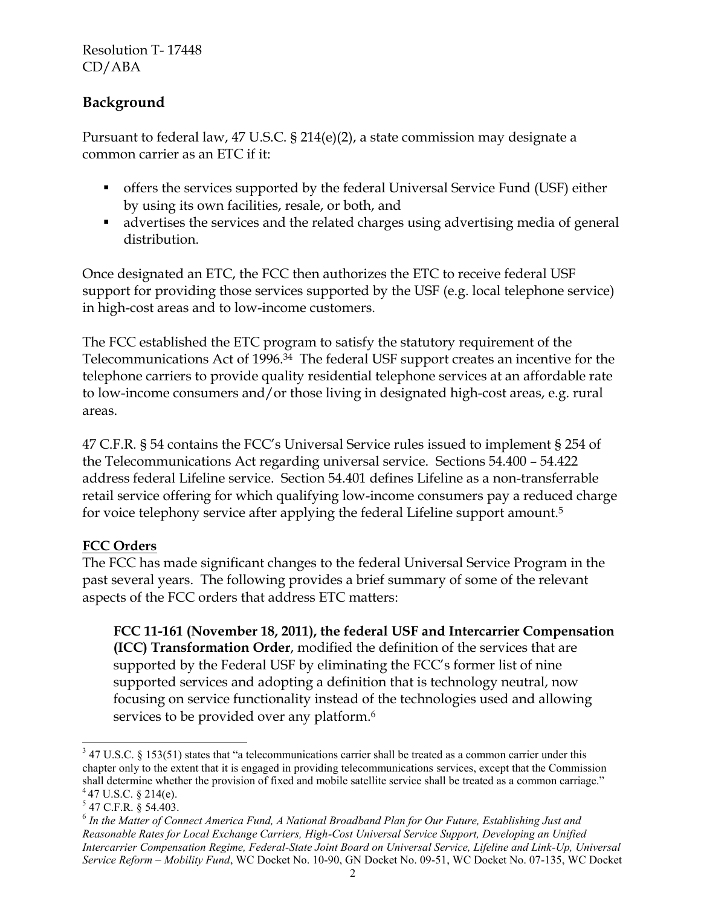# **Background**

Pursuant to federal law, 47 U.S.C. § 214(e)(2), a state commission may designate a common carrier as an ETC if it:

- offers the services supported by the federal Universal Service Fund (USF) either by using its own facilities, resale, or both, and
- advertises the services and the related charges using advertising media of general distribution.

Once designated an ETC, the FCC then authorizes the ETC to receive federal USF support for providing those services supported by the USF (e.g. local telephone service) in high-cost areas and to low-income customers.

The FCC established the ETC program to satisfy the statutory requirement of the Telecommunications Act of 1996.<sup>34</sup> The federal USF support creates an incentive for the telephone carriers to provide quality residential telephone services at an affordable rate to low-income consumers and/or those living in designated high-cost areas, e.g. rural areas.

47 C.F.R. § 54 contains the FCC's Universal Service rules issued to implement § 254 of the Telecommunications Act regarding universal service. Sections 54.400 – 54.422 address federal Lifeline service. Section 54.401 defines Lifeline as a non-transferrable retail service offering for which qualifying low-income consumers pay a reduced charge for voice telephony service after applying the federal Lifeline support amount.<sup>5</sup>

## **FCC Orders**

The FCC has made significant changes to the federal Universal Service Program in the past several years. The following provides a brief summary of some of the relevant aspects of the FCC orders that address ETC matters:

**FCC 11-161 (November 18, 2011), the federal USF and Intercarrier Compensation (ICC) Transformation Order**, modified the definition of the services that are supported by the Federal USF by eliminating the FCC's former list of nine supported services and adopting a definition that is technology neutral, now focusing on service functionality instead of the technologies used and allowing services to be provided over any platform.<sup>6</sup>

l

 $347$  U.S.C. § 153(51) states that "a telecommunications carrier shall be treated as a common carrier under this chapter only to the extent that it is engaged in providing telecommunications services, except that the Commission shall determine whether the provision of fixed and mobile satellite service shall be treated as a common carriage."  $447$  U.S.C. § 214(e).

<sup>5</sup> 47 C.F.R. § 54.403.

<sup>&</sup>lt;sup>6</sup> In the Matter of Connect America Fund, A National Broadband Plan for Our Future, Establishing Just and *Reasonable Rates for Local Exchange Carriers, High-Cost Universal Service Support, Developing an Unified Intercarrier Compensation Regime, Federal-State Joint Board on Universal Service, Lifeline and Link-Up, Universal Service Reform – Mobility Fund*, WC Docket No. 10-90, GN Docket No. 09-51, WC Docket No. 07-135, WC Docket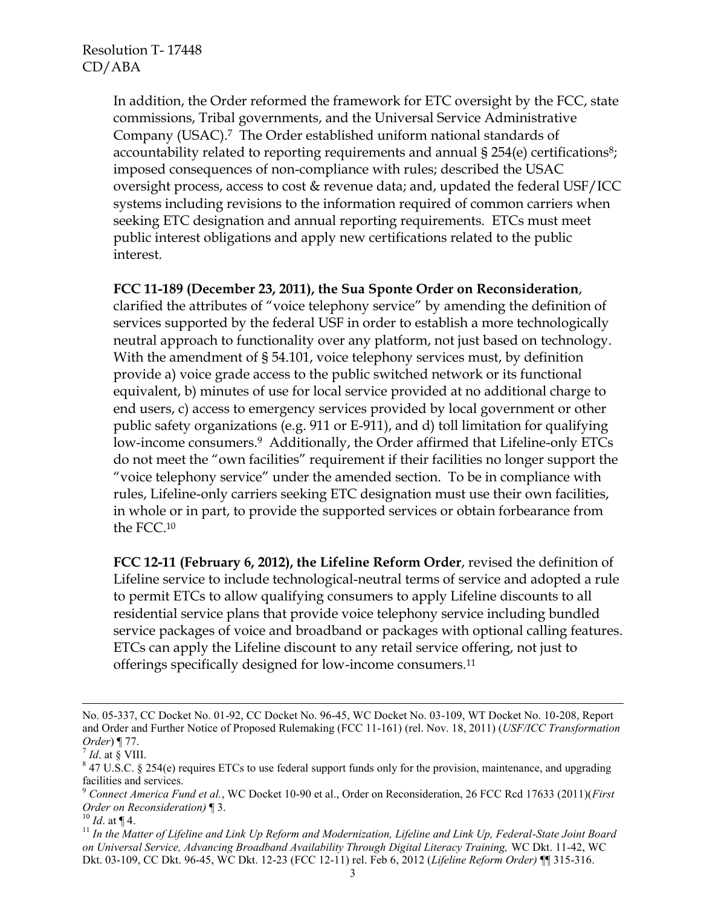In addition, the Order reformed the framework for ETC oversight by the FCC, state commissions, Tribal governments, and the Universal Service Administrative Company (USAC).<sup>7</sup> The Order established uniform national standards of accountability related to reporting requirements and annual § 254(e) certifications<sup>8</sup>; imposed consequences of non-compliance with rules; described the USAC oversight process, access to cost & revenue data; and, updated the federal USF/ICC systems including revisions to the information required of common carriers when seeking ETC designation and annual reporting requirements. ETCs must meet public interest obligations and apply new certifications related to the public interest.

#### **FCC 11-189 (December 23, 2011), the Sua Sponte Order on Reconsideration**,

clarified the attributes of "voice telephony service" by amending the definition of services supported by the federal USF in order to establish a more technologically neutral approach to functionality over any platform, not just based on technology. With the amendment of § 54.101, voice telephony services must, by definition provide a) voice grade access to the public switched network or its functional equivalent, b) minutes of use for local service provided at no additional charge to end users, c) access to emergency services provided by local government or other public safety organizations (e.g. 911 or E-911), and d) toll limitation for qualifying low-income consumers.<sup>9</sup> Additionally, the Order affirmed that Lifeline-only ETCs do not meet the "own facilities" requirement if their facilities no longer support the "voice telephony service" under the amended section. To be in compliance with rules, Lifeline-only carriers seeking ETC designation must use their own facilities, in whole or in part, to provide the supported services or obtain forbearance from the FCC.<sup>10</sup>

**FCC 12-11 (February 6, 2012), the Lifeline Reform Order**, revised the definition of Lifeline service to include technological-neutral terms of service and adopted a rule to permit ETCs to allow qualifying consumers to apply Lifeline discounts to all residential service plans that provide voice telephony service including bundled service packages of voice and broadband or packages with optional calling features. ETCs can apply the Lifeline discount to any retail service offering, not just to offerings specifically designed for low-income consumers.<sup>11</sup>

l

 $^{10}$  *Id.* at ¶ 4.

No. 05-337, CC Docket No. 01-92, CC Docket No. 96-45, WC Docket No. 03-109, WT Docket No. 10-208, Report and Order and Further Notice of Proposed Rulemaking (FCC 11-161) (rel. Nov. 18, 2011) (*USF/ICC Transformation Order*) ¶ 77.

 $^7$  *Id.* at § VIII.

 $8$  47 U.S.C. § 254(e) requires ETCs to use federal support funds only for the provision, maintenance, and upgrading facilities and services.

<sup>9</sup> *Connect America Fund et al.*, WC Docket 10-90 et al., Order on Reconsideration, 26 FCC Rcd 17633 (2011)(*First Order on Reconsideration)* ¶ 3.

<sup>11</sup> *In the Matter of Lifeline and Link Up Reform and Modernization, Lifeline and Link Up, Federal-State Joint Board on Universal Service, Advancing Broadband Availability Through Digital Literacy Training,* WC Dkt. 11-42, WC Dkt. 03-109, CC Dkt. 96-45, WC Dkt. 12-23 (FCC 12-11) rel. Feb 6, 2012 (*Lifeline Reform Order)* ¶¶ 315-316.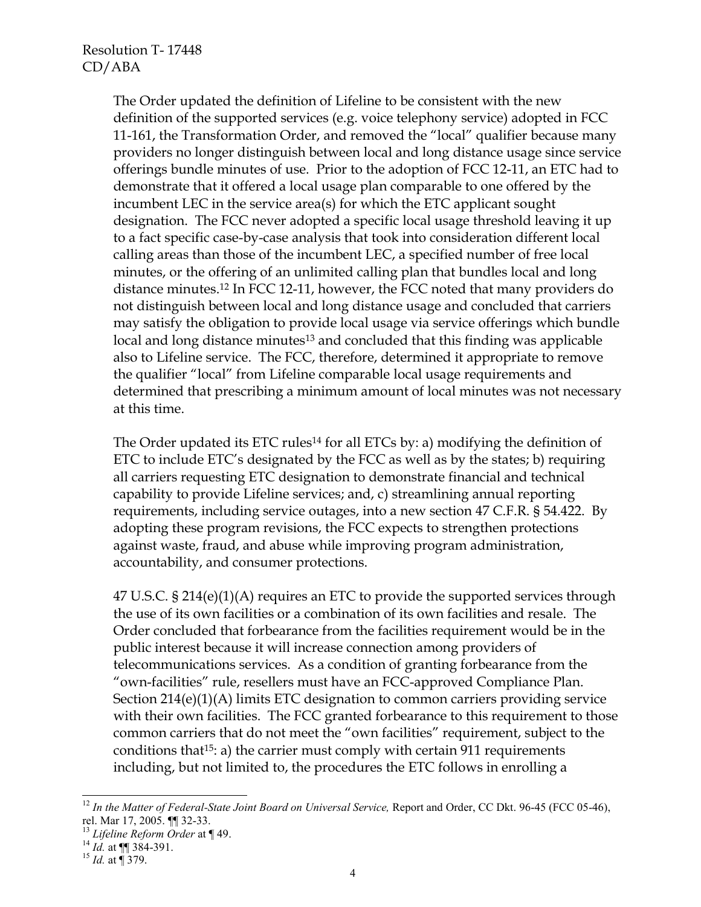The Order updated the definition of Lifeline to be consistent with the new definition of the supported services (e.g. voice telephony service) adopted in FCC 11-161, the Transformation Order, and removed the "local" qualifier because many providers no longer distinguish between local and long distance usage since service offerings bundle minutes of use. Prior to the adoption of FCC 12-11, an ETC had to demonstrate that it offered a local usage plan comparable to one offered by the incumbent LEC in the service area(s) for which the ETC applicant sought designation. The FCC never adopted a specific local usage threshold leaving it up to a fact specific case-by-case analysis that took into consideration different local calling areas than those of the incumbent LEC, a specified number of free local minutes, or the offering of an unlimited calling plan that bundles local and long distance minutes.<sup>12</sup> In FCC 12-11, however, the FCC noted that many providers do not distinguish between local and long distance usage and concluded that carriers may satisfy the obligation to provide local usage via service offerings which bundle local and long distance minutes<sup>13</sup> and concluded that this finding was applicable also to Lifeline service. The FCC, therefore, determined it appropriate to remove the qualifier "local" from Lifeline comparable local usage requirements and determined that prescribing a minimum amount of local minutes was not necessary at this time.

The Order updated its ETC rules<sup>14</sup> for all ETCs by: a) modifying the definition of ETC to include ETC's designated by the FCC as well as by the states; b) requiring all carriers requesting ETC designation to demonstrate financial and technical capability to provide Lifeline services; and, c) streamlining annual reporting requirements, including service outages, into a new section 47 C.F.R. § 54.422. By adopting these program revisions, the FCC expects to strengthen protections against waste, fraud, and abuse while improving program administration, accountability, and consumer protections.

47 U.S.C. § 214(e)(1)(A) requires an ETC to provide the supported services through the use of its own facilities or a combination of its own facilities and resale. The Order concluded that forbearance from the facilities requirement would be in the public interest because it will increase connection among providers of telecommunications services. As a condition of granting forbearance from the "own-facilities" rule, resellers must have an FCC-approved Compliance Plan. Section 214(e)(1)(A) limits ETC designation to common carriers providing service with their own facilities. The FCC granted forbearance to this requirement to those common carriers that do not meet the "own facilities" requirement, subject to the conditions that15: a) the carrier must comply with certain 911 requirements including, but not limited to, the procedures the ETC follows in enrolling a

 $\overline{a}$ 

<sup>&</sup>lt;sup>12</sup> In the Matter of Federal-State Joint Board on Universal Service, Report and Order, CC Dkt. 96-45 (FCC 05-46), rel. Mar 17, 2005. ¶¶ 32-33.

<sup>13</sup> *Lifeline Reform Order* at ¶ 49.

 $^{14}$  *Id.* at  $\P\P$  384-391.

<sup>15</sup> *Id.* at ¶ 379.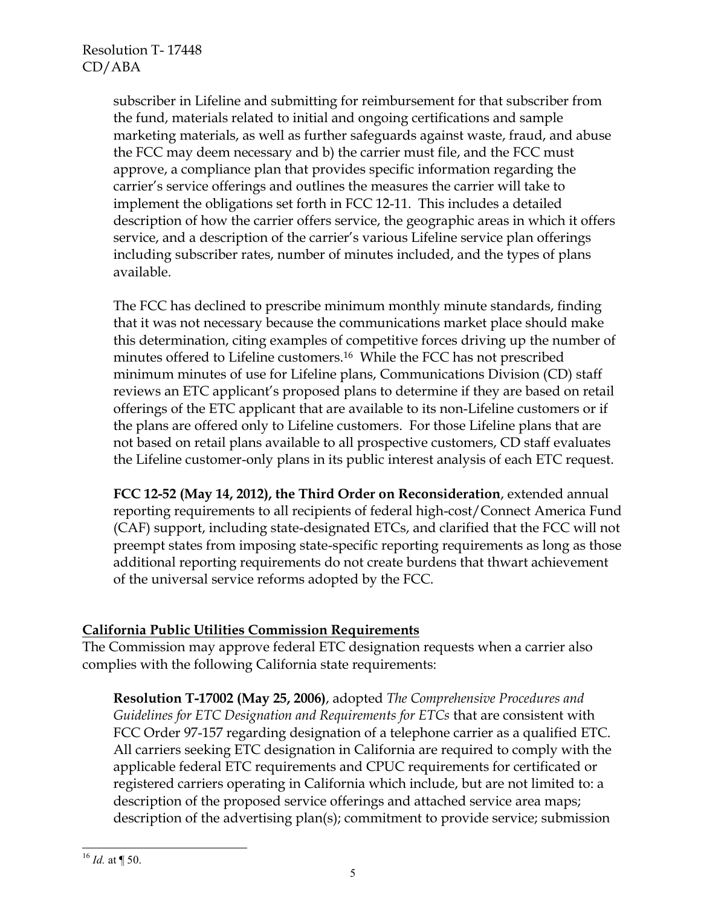subscriber in Lifeline and submitting for reimbursement for that subscriber from the fund, materials related to initial and ongoing certifications and sample marketing materials, as well as further safeguards against waste, fraud, and abuse the FCC may deem necessary and b) the carrier must file, and the FCC must approve, a compliance plan that provides specific information regarding the carrier's service offerings and outlines the measures the carrier will take to implement the obligations set forth in FCC 12-11. This includes a detailed description of how the carrier offers service, the geographic areas in which it offers service, and a description of the carrier's various Lifeline service plan offerings including subscriber rates, number of minutes included, and the types of plans available.

The FCC has declined to prescribe minimum monthly minute standards, finding that it was not necessary because the communications market place should make this determination, citing examples of competitive forces driving up the number of minutes offered to Lifeline customers.<sup>16</sup> While the FCC has not prescribed minimum minutes of use for Lifeline plans, Communications Division (CD) staff reviews an ETC applicant's proposed plans to determine if they are based on retail offerings of the ETC applicant that are available to its non-Lifeline customers or if the plans are offered only to Lifeline customers. For those Lifeline plans that are not based on retail plans available to all prospective customers, CD staff evaluates the Lifeline customer-only plans in its public interest analysis of each ETC request.

**FCC 12-52 (May 14, 2012), the Third Order on Reconsideration**, extended annual reporting requirements to all recipients of federal high-cost/Connect America Fund (CAF) support, including state-designated ETCs, and clarified that the FCC will not preempt states from imposing state-specific reporting requirements as long as those additional reporting requirements do not create burdens that thwart achievement of the universal service reforms adopted by the FCC.

## **California Public Utilities Commission Requirements**

The Commission may approve federal ETC designation requests when a carrier also complies with the following California state requirements:

**Resolution T-17002 (May 25, 2006)**, adopted *The Comprehensive Procedures and Guidelines for ETC Designation and Requirements for ETCs* that are consistent with FCC Order 97-157 regarding designation of a telephone carrier as a qualified ETC. All carriers seeking ETC designation in California are required to comply with the applicable federal ETC requirements and CPUC requirements for certificated or registered carriers operating in California which include, but are not limited to: a description of the proposed service offerings and attached service area maps; description of the advertising plan(s); commitment to provide service; submission

 $\overline{a}$  $^{16}$  *Id.* at ¶ 50.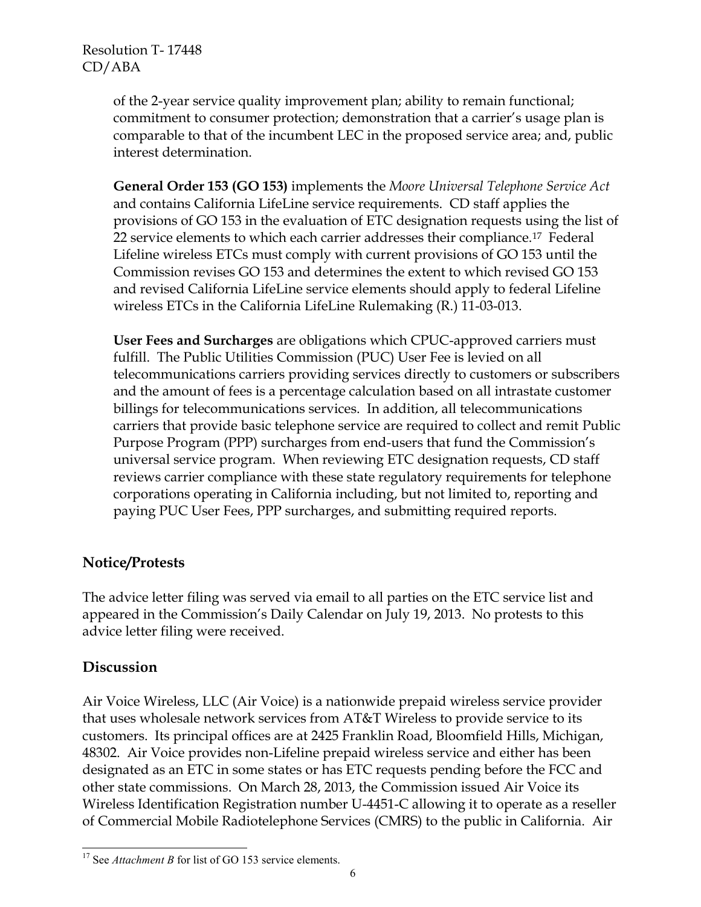of the 2-year service quality improvement plan; ability to remain functional; commitment to consumer protection; demonstration that a carrier's usage plan is comparable to that of the incumbent LEC in the proposed service area; and, public interest determination.

**General Order 153 (GO 153)** implements the *Moore Universal Telephone Service Act* and contains California LifeLine service requirements. CD staff applies the provisions of GO 153 in the evaluation of ETC designation requests using the list of 22 service elements to which each carrier addresses their compliance.<sup>17</sup> Federal Lifeline wireless ETCs must comply with current provisions of GO 153 until the Commission revises GO 153 and determines the extent to which revised GO 153 and revised California LifeLine service elements should apply to federal Lifeline wireless ETCs in the California LifeLine Rulemaking (R.) 11-03-013.

**User Fees and Surcharges** are obligations which CPUC-approved carriers must fulfill. The Public Utilities Commission (PUC) User Fee is levied on all telecommunications carriers providing services directly to customers or subscribers and the amount of fees is a percentage calculation based on all intrastate customer billings for telecommunications services. In addition, all telecommunications carriers that provide basic telephone service are required to collect and remit Public Purpose Program (PPP) surcharges from end-users that fund the Commission's universal service program. When reviewing ETC designation requests, CD staff reviews carrier compliance with these state regulatory requirements for telephone corporations operating in California including, but not limited to, reporting and paying PUC User Fees, PPP surcharges, and submitting required reports.

# **Notice/Protests**

The advice letter filing was served via email to all parties on the ETC service list and appeared in the Commission's Daily Calendar on July 19, 2013. No protests to this advice letter filing were received.

## **Discussion**

Air Voice Wireless, LLC (Air Voice) is a nationwide prepaid wireless service provider that uses wholesale network services from AT&T Wireless to provide service to its customers. Its principal offices are at 2425 Franklin Road, Bloomfield Hills, Michigan, 48302. Air Voice provides non-Lifeline prepaid wireless service and either has been designated as an ETC in some states or has ETC requests pending before the FCC and other state commissions. On March 28, 2013, the Commission issued Air Voice its Wireless Identification Registration number U-4451-C allowing it to operate as a reseller of Commercial Mobile Radiotelephone Services (CMRS) to the public in California. Air

 $\overline{a}$ <sup>17</sup> See *Attachment B* for list of GO 153 service elements.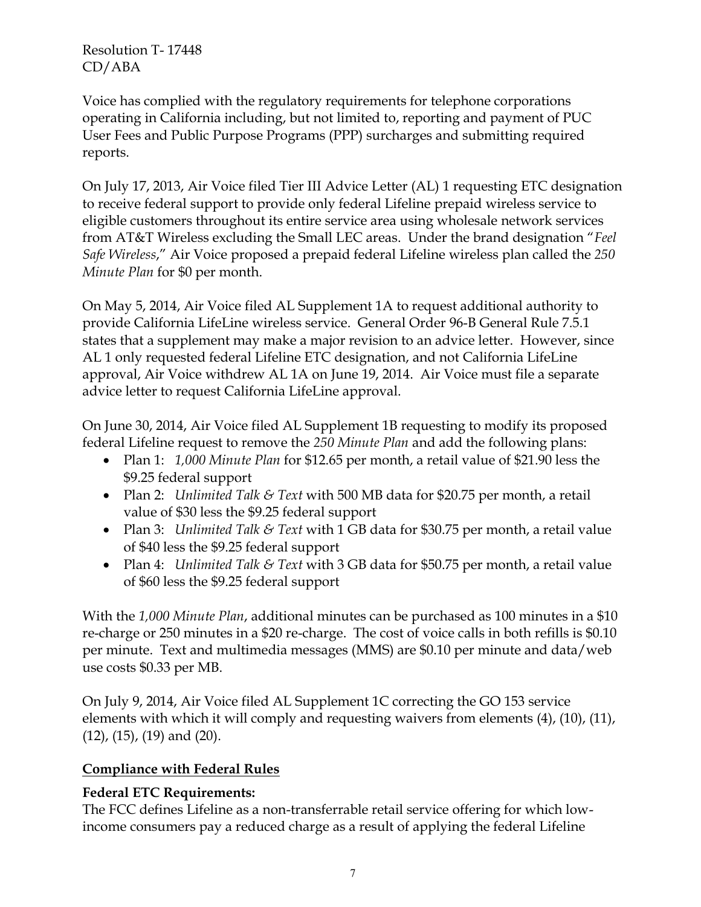Voice has complied with the regulatory requirements for telephone corporations operating in California including, but not limited to, reporting and payment of PUC User Fees and Public Purpose Programs (PPP) surcharges and submitting required reports.

On July 17, 2013, Air Voice filed Tier III Advice Letter (AL) 1 requesting ETC designation to receive federal support to provide only federal Lifeline prepaid wireless service to eligible customers throughout its entire service area using wholesale network services from AT&T Wireless excluding the Small LEC areas. Under the brand designation "*Feel Safe Wireless*," Air Voice proposed a prepaid federal Lifeline wireless plan called the *250 Minute Plan* for \$0 per month.

On May 5, 2014, Air Voice filed AL Supplement 1A to request additional authority to provide California LifeLine wireless service. General Order 96-B General Rule 7.5.1 states that a supplement may make a major revision to an advice letter. However, since AL 1 only requested federal Lifeline ETC designation, and not California LifeLine approval, Air Voice withdrew AL 1A on June 19, 2014. Air Voice must file a separate advice letter to request California LifeLine approval.

On June 30, 2014, Air Voice filed AL Supplement 1B requesting to modify its proposed federal Lifeline request to remove the *250 Minute Plan* and add the following plans:

- Plan 1: *1,000 Minute Plan* for \$12.65 per month, a retail value of \$21.90 less the \$9.25 federal support
- Plan 2: *Unlimited Talk & Text* with 500 MB data for \$20.75 per month, a retail value of \$30 less the \$9.25 federal support
- Plan 3: *Unlimited Talk & Text* with 1 GB data for \$30.75 per month, a retail value of \$40 less the \$9.25 federal support
- Plan 4: *Unlimited Talk & Text* with 3 GB data for \$50.75 per month, a retail value of \$60 less the \$9.25 federal support

With the *1,000 Minute Plan*, additional minutes can be purchased as 100 minutes in a \$10 re-charge or 250 minutes in a \$20 re-charge. The cost of voice calls in both refills is \$0.10 per minute. Text and multimedia messages (MMS) are \$0.10 per minute and data/web use costs \$0.33 per MB.

On July 9, 2014, Air Voice filed AL Supplement 1C correcting the GO 153 service elements with which it will comply and requesting waivers from elements (4), (10), (11), (12), (15), (19) and (20).

# **Compliance with Federal Rules**

# **Federal ETC Requirements:**

The FCC defines Lifeline as a non-transferrable retail service offering for which lowincome consumers pay a reduced charge as a result of applying the federal Lifeline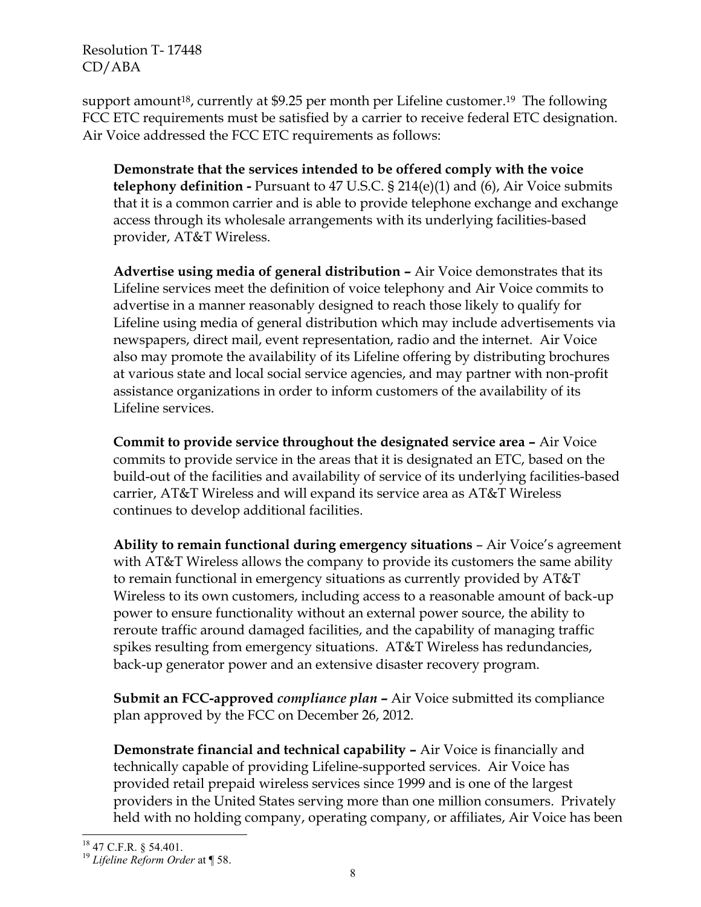support amount<sup>18</sup>, currently at \$9.25 per month per Lifeline customer.<sup>19</sup> The following FCC ETC requirements must be satisfied by a carrier to receive federal ETC designation. Air Voice addressed the FCC ETC requirements as follows:

**Demonstrate that the services intended to be offered comply with the voice telephony definition -** Pursuant to 47 U.S.C. § 214(e)(1) and (6), Air Voice submits that it is a common carrier and is able to provide telephone exchange and exchange access through its wholesale arrangements with its underlying facilities-based provider, AT&T Wireless.

**Advertise using media of general distribution –** Air Voice demonstrates that its Lifeline services meet the definition of voice telephony and Air Voice commits to advertise in a manner reasonably designed to reach those likely to qualify for Lifeline using media of general distribution which may include advertisements via newspapers, direct mail, event representation, radio and the internet. Air Voice also may promote the availability of its Lifeline offering by distributing brochures at various state and local social service agencies, and may partner with non-profit assistance organizations in order to inform customers of the availability of its Lifeline services.

**Commit to provide service throughout the designated service area –** Air Voice commits to provide service in the areas that it is designated an ETC, based on the build-out of the facilities and availability of service of its underlying facilities-based carrier, AT&T Wireless and will expand its service area as AT&T Wireless continues to develop additional facilities.

**Ability to remain functional during emergency situations** – Air Voice's agreement with AT&T Wireless allows the company to provide its customers the same ability to remain functional in emergency situations as currently provided by AT&T Wireless to its own customers, including access to a reasonable amount of back-up power to ensure functionality without an external power source, the ability to reroute traffic around damaged facilities, and the capability of managing traffic spikes resulting from emergency situations. AT&T Wireless has redundancies, back-up generator power and an extensive disaster recovery program.

**Submit an FCC-approved** *compliance plan* **–** Air Voice submitted its compliance plan approved by the FCC on December 26, 2012.

**Demonstrate financial and technical capability –** Air Voice is financially and technically capable of providing Lifeline-supported services. Air Voice has provided retail prepaid wireless services since 1999 and is one of the largest providers in the United States serving more than one million consumers. Privately held with no holding company, operating company, or affiliates, Air Voice has been

<sup>19</sup> *Lifeline Reform Order* at ¶ 58.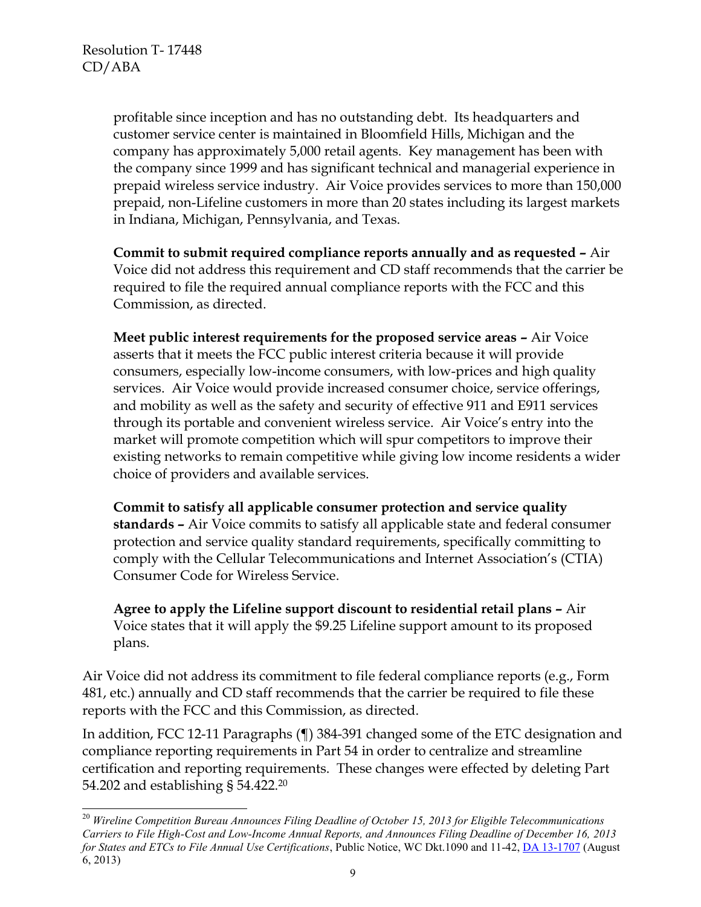$\overline{a}$ 

profitable since inception and has no outstanding debt. Its headquarters and customer service center is maintained in Bloomfield Hills, Michigan and the company has approximately 5,000 retail agents. Key management has been with the company since 1999 and has significant technical and managerial experience in prepaid wireless service industry. Air Voice provides services to more than 150,000 prepaid, non-Lifeline customers in more than 20 states including its largest markets in Indiana, Michigan, Pennsylvania, and Texas.

**Commit to submit required compliance reports annually and as requested –** Air Voice did not address this requirement and CD staff recommends that the carrier be required to file the required annual compliance reports with the FCC and this Commission, as directed.

**Meet public interest requirements for the proposed service areas –** Air Voice asserts that it meets the FCC public interest criteria because it will provide consumers, especially low-income consumers, with low-prices and high quality services. Air Voice would provide increased consumer choice, service offerings, and mobility as well as the safety and security of effective 911 and E911 services through its portable and convenient wireless service. Air Voice's entry into the market will promote competition which will spur competitors to improve their existing networks to remain competitive while giving low income residents a wider choice of providers and available services.

**Commit to satisfy all applicable consumer protection and service quality standards –** Air Voice commits to satisfy all applicable state and federal consumer protection and service quality standard requirements, specifically committing to comply with the Cellular Telecommunications and Internet Association's (CTIA) Consumer Code for Wireless Service.

**Agree to apply the Lifeline support discount to residential retail plans –** Air Voice states that it will apply the \$9.25 Lifeline support amount to its proposed plans.

Air Voice did not address its commitment to file federal compliance reports (e.g., Form 481, etc.) annually and CD staff recommends that the carrier be required to file these reports with the FCC and this Commission, as directed.

In addition, FCC 12-11 Paragraphs (¶) 384-391 changed some of the ETC designation and compliance reporting requirements in Part 54 in order to centralize and streamline certification and reporting requirements. These changes were effected by deleting Part 54.202 and establishing § 54.422.<sup>20</sup>

<sup>20</sup> *Wireline Competition Bureau Announces Filing Deadline of October 15, 2013 for Eligible Telecommunications Carriers to File High-Cost and Low-Income Annual Reports, and Announces Filing Deadline of December 16, 2013 for States and ETCs to File Annual Use Certifications*, Public Notice, WC Dkt.1090 and 11-42, [DA 13-1707](http://www.fcc.gov/document/etc-annual-report-filing-deadline-public-notice) (August 6, 2013)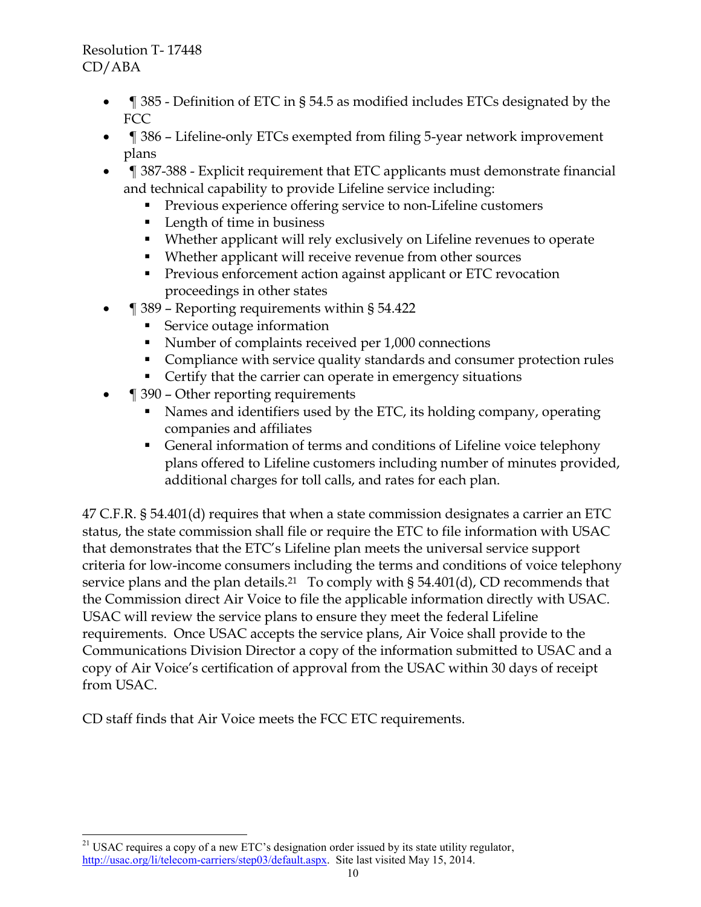- ¶ 385 Definition of ETC in § 54.5 as modified includes ETCs designated by the FCC
- ¶ 386 Lifeline-only ETCs exempted from filing 5-year network improvement plans
- ¶ 387-388 Explicit requirement that ETC applicants must demonstrate financial and technical capability to provide Lifeline service including:
	- **Previous experience offering service to non-Lifeline customers**
	- **Length of time in business**
	- Whether applicant will rely exclusively on Lifeline revenues to operate
	- Whether applicant will receive revenue from other sources
	- **Previous enforcement action against applicant or ETC revocation** proceedings in other states
- ¶ 389 Reporting requirements within § 54.422
	- Service outage information
	- Number of complaints received per 1,000 connections
	- Compliance with service quality standards and consumer protection rules
	- Certify that the carrier can operate in emergency situations
- ¶ 390 Other reporting requirements
	- Names and identifiers used by the ETC, its holding company, operating companies and affiliates
	- General information of terms and conditions of Lifeline voice telephony plans offered to Lifeline customers including number of minutes provided, additional charges for toll calls, and rates for each plan.

47 C.F.R. § 54.401(d) requires that when a state commission designates a carrier an ETC status, the state commission shall file or require the ETC to file information with USAC that demonstrates that the ETC's Lifeline plan meets the universal service support criteria for low-income consumers including the terms and conditions of voice telephony service plans and the plan details. <sup>21</sup> To comply with § 54.401(d), CD recommends that the Commission direct Air Voice to file the applicable information directly with USAC. USAC will review the service plans to ensure they meet the federal Lifeline requirements. Once USAC accepts the service plans, Air Voice shall provide to the Communications Division Director a copy of the information submitted to USAC and a copy of Air Voice's certification of approval from the USAC within 30 days of receipt from USAC.

CD staff finds that Air Voice meets the FCC ETC requirements.

 $\overline{a}$  $21$  USAC requires a copy of a new ETC's designation order issued by its state utility regulator, [http://usac.org/li/telecom-carriers/step03/default.aspx.](http://usac.org/li/telecom-carriers/step03/default.aspx) Site last visited May 15, 2014.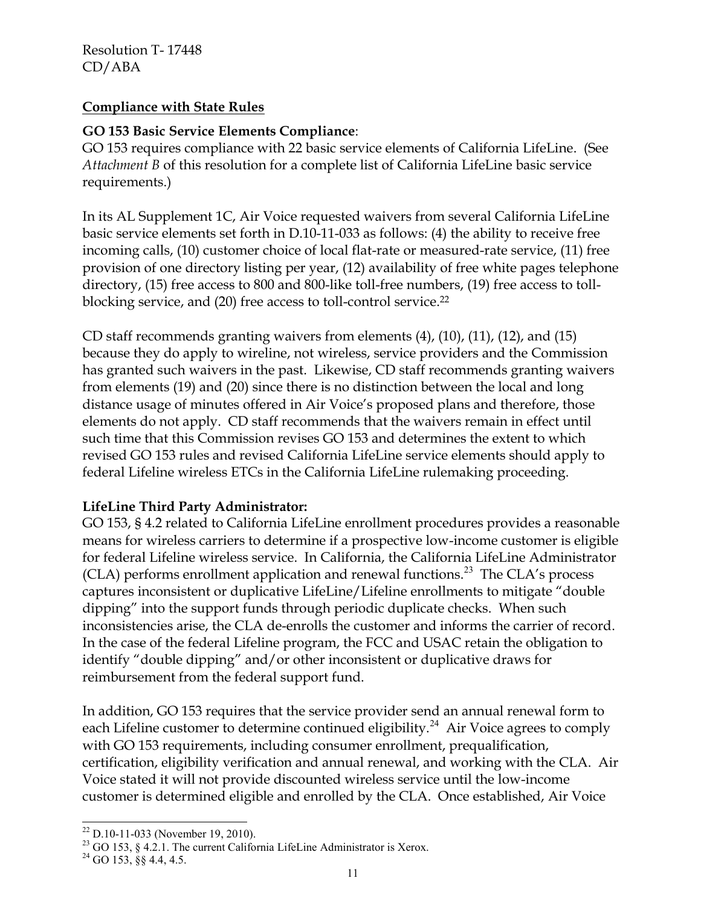## **Compliance with State Rules**

#### **GO 153 Basic Service Elements Compliance**:

GO 153 requires compliance with 22 basic service elements of California LifeLine. (See *Attachment B* of this resolution for a complete list of California LifeLine basic service requirements.)

In its AL Supplement 1C, Air Voice requested waivers from several California LifeLine basic service elements set forth in D.10-11-033 as follows: (4) the ability to receive free incoming calls, (10) customer choice of local flat-rate or measured-rate service, (11) free provision of one directory listing per year, (12) availability of free white pages telephone directory, (15) free access to 800 and 800-like toll-free numbers, (19) free access to tollblocking service, and (20) free access to toll-control service. 22

CD staff recommends granting waivers from elements (4), (10), (11), (12), and (15) because they do apply to wireline, not wireless, service providers and the Commission has granted such waivers in the past. Likewise, CD staff recommends granting waivers from elements (19) and (20) since there is no distinction between the local and long distance usage of minutes offered in Air Voice's proposed plans and therefore, those elements do not apply. CD staff recommends that the waivers remain in effect until such time that this Commission revises GO 153 and determines the extent to which revised GO 153 rules and revised California LifeLine service elements should apply to federal Lifeline wireless ETCs in the California LifeLine rulemaking proceeding.

#### **LifeLine Third Party Administrator:**

GO 153, § 4.2 related to California LifeLine enrollment procedures provides a reasonable means for wireless carriers to determine if a prospective low-income customer is eligible for federal Lifeline wireless service. In California, the California LifeLine Administrator (CLA) performs enrollment application and renewal functions.<sup>23</sup> The CLA's process captures inconsistent or duplicative LifeLine/Lifeline enrollments to mitigate "double dipping" into the support funds through periodic duplicate checks. When such inconsistencies arise, the CLA de-enrolls the customer and informs the carrier of record. In the case of the federal Lifeline program, the FCC and USAC retain the obligation to identify "double dipping" and/or other inconsistent or duplicative draws for reimbursement from the federal support fund.

In addition, GO 153 requires that the service provider send an annual renewal form to each Lifeline customer to determine continued eligibility.<sup>24</sup> Air Voice agrees to comply with GO 153 requirements, including consumer enrollment, prequalification, certification, eligibility verification and annual renewal, and working with the CLA. Air Voice stated it will not provide discounted wireless service until the low-income customer is determined eligible and enrolled by the CLA. Once established, Air Voice

l  $22$  D.10-11-033 (November 19, 2010).

<sup>&</sup>lt;sup>23</sup> GO 153, § 4.2.1. The current California LifeLine Administrator is Xerox.

 $24$  GO 153, §§ 4.4, 4.5.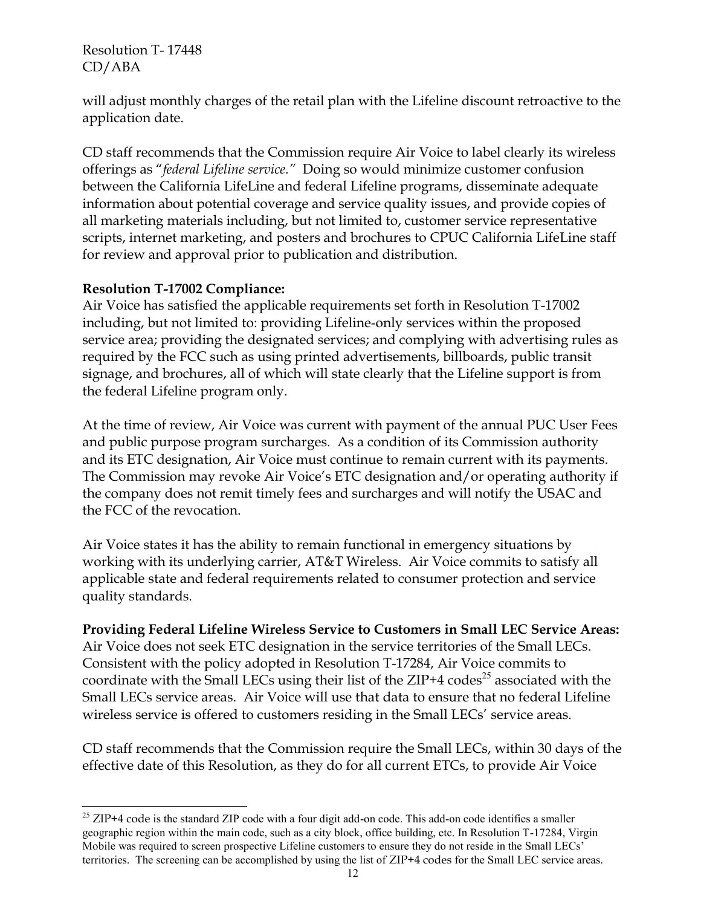will adjust monthly charges of the retail plan with the Lifeline discount retroactive to the application date.

CD staff recommends that the Commission require Air Voice to label clearly its wireless offerings as "*federal Lifeline service."* Doing so would minimize customer confusion between the California LifeLine and federal Lifeline programs, disseminate adequate information about potential coverage and service quality issues, and provide copies of all marketing materials including, but not limited to, customer service representative scripts, internet marketing, and posters and brochures to CPUC California LifeLine staff for review and approval prior to publication and distribution.

## **Resolution T-17002 Compliance:**

 $\overline{a}$ 

Air Voice has satisfied the applicable requirements set forth in Resolution T-17002 including, but not limited to: providing Lifeline-only services within the proposed service area; providing the designated services; and complying with advertising rules as required by the FCC such as using printed advertisements, billboards, public transit signage, and brochures, all of which will state clearly that the Lifeline support is from the federal Lifeline program only.

At the time of review, Air Voice was current with payment of the annual PUC User Fees and public purpose program surcharges. As a condition of its Commission authority and its ETC designation, Air Voice must continue to remain current with its payments. The Commission may revoke Air Voice's ETC designation and/or operating authority if the company does not remit timely fees and surcharges and will notify the USAC and the FCC of the revocation.

Air Voice states it has the ability to remain functional in emergency situations by working with its underlying carrier, AT&T Wireless. Air Voice commits to satisfy all applicable state and federal requirements related to consumer protection and service quality standards.

## **Providing Federal Lifeline Wireless Service to Customers in Small LEC Service Areas:**

Air Voice does not seek ETC designation in the service territories of the Small LECs. Consistent with the policy adopted in Resolution T-17284, Air Voice commits to coordinate with the Small LECs using their list of the ZIP+4 codes<sup>25</sup> associated with the Small LECs service areas. Air Voice will use that data to ensure that no federal Lifeline wireless service is offered to customers residing in the Small LECs' service areas.

CD staff recommends that the Commission require the Small LECs, within 30 days of the effective date of this Resolution, as they do for all current ETCs, to provide Air Voice

<sup>&</sup>lt;sup>25</sup> ZIP+4 code is the standard ZIP code with a four digit add-on code. This add-on code identifies a smaller geographic region within the main code, such as a city block, office building, etc. In Resolution T-17284, Virgin Mobile was required to screen prospective Lifeline customers to ensure they do not reside in the Small LECs' territories. The screening can be accomplished by using the list of ZIP+4 codes for the Small LEC service areas.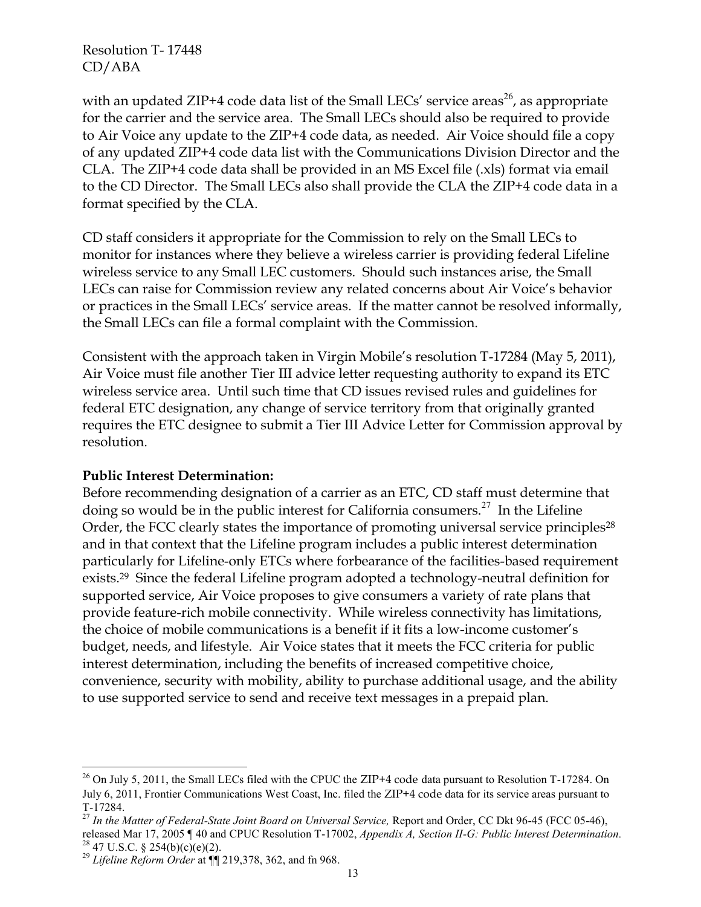with an updated ZIP+4 code data list of the Small LECs' service areas<sup>26</sup>, as appropriate for the carrier and the service area. The Small LECs should also be required to provide to Air Voice any update to the ZIP+4 code data, as needed. Air Voice should file a copy of any updated ZIP+4 code data list with the Communications Division Director and the CLA. The ZIP+4 code data shall be provided in an MS Excel file (.xls) format via email to the CD Director. The Small LECs also shall provide the CLA the ZIP+4 code data in a format specified by the CLA.

CD staff considers it appropriate for the Commission to rely on the Small LECs to monitor for instances where they believe a wireless carrier is providing federal Lifeline wireless service to any Small LEC customers. Should such instances arise, the Small LECs can raise for Commission review any related concerns about Air Voice's behavior or practices in the Small LECs' service areas. If the matter cannot be resolved informally, the Small LECs can file a formal complaint with the Commission.

Consistent with the approach taken in Virgin Mobile's resolution T-17284 (May 5, 2011), Air Voice must file another Tier III advice letter requesting authority to expand its ETC wireless service area. Until such time that CD issues revised rules and guidelines for federal ETC designation, any change of service territory from that originally granted requires the ETC designee to submit a Tier III Advice Letter for Commission approval by resolution.

#### **Public Interest Determination:**

Before recommending designation of a carrier as an ETC, CD staff must determine that doing so would be in the public interest for California consumers.<sup>27</sup> In the Lifeline Order, the FCC clearly states the importance of promoting universal service principles<sup>28</sup> and in that context that the Lifeline program includes a public interest determination particularly for Lifeline-only ETCs where forbearance of the facilities-based requirement exists.<sup>29</sup> Since the federal Lifeline program adopted a technology-neutral definition for supported service, Air Voice proposes to give consumers a variety of rate plans that provide feature-rich mobile connectivity. While wireless connectivity has limitations, the choice of mobile communications is a benefit if it fits a low-income customer's budget, needs, and lifestyle. Air Voice states that it meets the FCC criteria for public interest determination, including the benefits of increased competitive choice, convenience, security with mobility, ability to purchase additional usage, and the ability to use supported service to send and receive text messages in a prepaid plan.

 $\overline{a}$ 

<sup>&</sup>lt;sup>26</sup> On July 5, 2011, the Small LECs filed with the CPUC the ZIP+4 code data pursuant to Resolution T-17284. On July 6, 2011, Frontier Communications West Coast, Inc. filed the ZIP+4 code data for its service areas pursuant to T-17284.

<sup>&</sup>lt;sup>27</sup> In the Matter of Federal-State Joint Board on Universal Service, Report and Order, CC Dkt 96-45 (FCC 05-46), released Mar 17, 2005 ¶ 40 and CPUC Resolution T-17002, *Appendix A, Section II-G: Public Interest Determination.*  $^{28}$  47 U.S.C. § 254(b)(c)(e)(2).

<sup>29</sup> *Lifeline Reform Order* at ¶¶ 219,378, 362, and fn 968.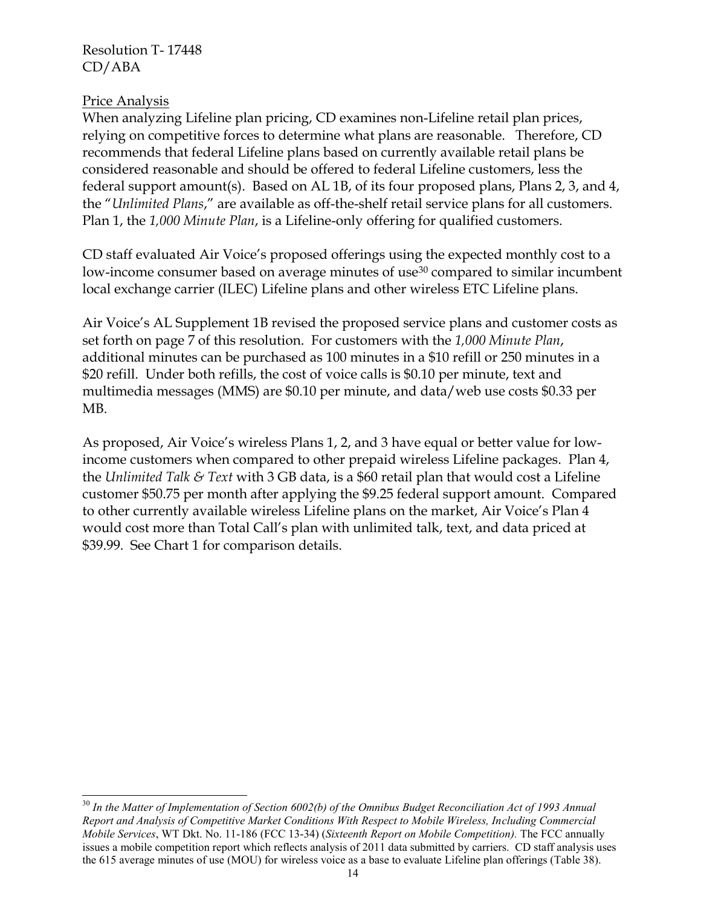#### Price Analysis

When analyzing Lifeline plan pricing, CD examines non-Lifeline retail plan prices, relying on competitive forces to determine what plans are reasonable. Therefore, CD recommends that federal Lifeline plans based on currently available retail plans be considered reasonable and should be offered to federal Lifeline customers, less the federal support amount(s). Based on AL 1B, of its four proposed plans, Plans 2, 3, and 4, the "*Unlimited Plans*," are available as off-the-shelf retail service plans for all customers. Plan 1, the *1,000 Minute Plan*, is a Lifeline-only offering for qualified customers.

CD staff evaluated Air Voice's proposed offerings using the expected monthly cost to a low-income consumer based on average minutes of use<sup>30</sup> compared to similar incumbent local exchange carrier (ILEC) Lifeline plans and other wireless ETC Lifeline plans.

Air Voice's AL Supplement 1B revised the proposed service plans and customer costs as set forth on page 7 of this resolution. For customers with the *1,000 Minute Plan*, additional minutes can be purchased as 100 minutes in a \$10 refill or 250 minutes in a \$20 refill. Under both refills, the cost of voice calls is \$0.10 per minute, text and multimedia messages (MMS) are \$0.10 per minute, and data/web use costs \$0.33 per MB.

As proposed, Air Voice's wireless Plans 1, 2, and 3 have equal or better value for lowincome customers when compared to other prepaid wireless Lifeline packages. Plan 4, the *Unlimited Talk & Text* with 3 GB data, is a \$60 retail plan that would cost a Lifeline customer \$50.75 per month after applying the \$9.25 federal support amount. Compared to other currently available wireless Lifeline plans on the market, Air Voice's Plan 4 would cost more than Total Call's plan with unlimited talk, text, and data priced at \$39.99. See Chart 1 for comparison details.

 $\overline{a}$ <sup>30</sup> In the Matter of Implementation of Section 6002(b) of the Omnibus Budget Reconciliation Act of 1993 Annual *Report and Analysis of Competitive Market Conditions With Respect to Mobile Wireless, Including Commercial Mobile Services*, WT Dkt. No. 11-186 (FCC 13-34) (*Sixteenth Report on Mobile Competition).* The FCC annually issues a mobile competition report which reflects analysis of 2011 data submitted by carriers. CD staff analysis uses the 615 average minutes of use (MOU) for wireless voice as a base to evaluate Lifeline plan offerings (Table 38).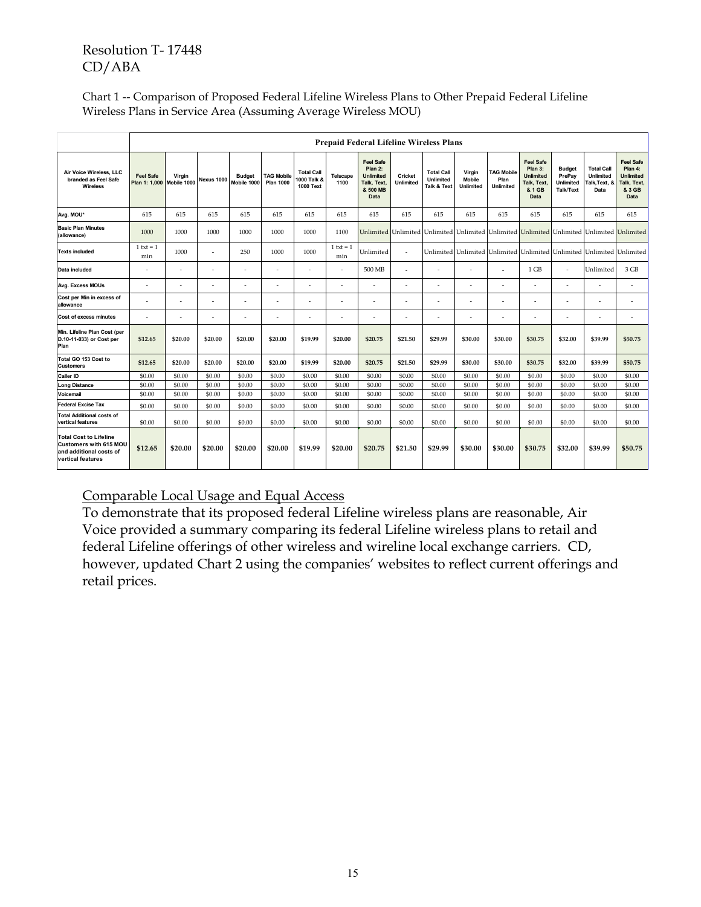| Chart 1 -- Comparison of Proposed Federal Lifeline Wireless Plans to Other Prepaid Federal Lifeline |
|-----------------------------------------------------------------------------------------------------|
| Wireless Plans in Service Area (Assuming Average Wireless MOU)                                      |

|                                                                                                                | <b>Prepaid Federal Lifeline Wireless Plans</b> |         |                   |                              |                                       |                                                      |                         |                                                                                    |                             |                                                   |                                             |                                        |                                                                                         |                                                   |                                                         |                                                                                  |
|----------------------------------------------------------------------------------------------------------------|------------------------------------------------|---------|-------------------|------------------------------|---------------------------------------|------------------------------------------------------|-------------------------|------------------------------------------------------------------------------------|-----------------------------|---------------------------------------------------|---------------------------------------------|----------------------------------------|-----------------------------------------------------------------------------------------|---------------------------------------------------|---------------------------------------------------------|----------------------------------------------------------------------------------|
| Air Voice Wireless, LLC<br>branded as Feel Safe<br><b>Wireless</b>                                             | <b>Feel Safe</b><br>Plan 1: 1.000 Mobile 1000  | Virgin  | <b>Nexus 1000</b> | <b>Budget</b><br>Mobile 1000 | <b>TAG Mobile</b><br><b>Plan 1000</b> | <b>Total Call</b><br>1000 Talk &<br><b>1000 Text</b> | <b>Telscape</b><br>1100 | <b>Feel Safe</b><br>Plan 2:<br><b>Unlimited</b><br>Talk. Text.<br>& 500 MB<br>Data | Cricket<br><b>Unlimited</b> | <b>Total Call</b><br>Unlimited<br>Talk & Text     | Virgin<br><b>Mobile</b><br><b>Unlimited</b> | <b>TAG Mobile</b><br>Plan<br>Unlimited | <b>Feel Safe</b><br>Plan 3:<br><b>Unlimited</b><br>Talk. Text.<br>& 1 GB<br><b>Data</b> | <b>Budget</b><br>PrePav<br>Unlimited<br>Talk/Text | <b>Total Call</b><br>Unlimited<br>Talk, Text, &<br>Data | <b>Feel Safe</b><br>Plan 4:<br><b>Unlimited</b><br>Talk, Text,<br>& 3 GB<br>Data |
| Avg. MOU*                                                                                                      | 615                                            | 615     | 615               | 615                          | 615                                   | 615                                                  | 615                     | 615                                                                                | 615                         | 615                                               | 615                                         | 615                                    | 615                                                                                     | 615                                               | 615                                                     | 615                                                                              |
| <b>Basic Plan Minutes</b><br>(allowance)                                                                       | 1000                                           | 1000    | 1000              | 1000                         | 1000                                  | 1000                                                 | 1100                    | Unlimited                                                                          |                             | Unlimited Unlimited Unlimited Unlimited Unlimited |                                             |                                        |                                                                                         | Unlimited Unlimited Unlimited                     |                                                         |                                                                                  |
| <b>Texts included</b>                                                                                          | $1$ txt = $1$<br>min                           | 1000    |                   | 250                          | 1000                                  | 1000                                                 | $1$ txt = 1<br>min      | Unlimited                                                                          | $\omega$                    |                                                   |                                             |                                        | Unlimited Unlimited Unlimited Unlimited Unlimited Unlimited Unlimited                   |                                                   |                                                         |                                                                                  |
| Data included                                                                                                  | ÷                                              | ۰       | <u>. .</u>        |                              |                                       | ٠                                                    | ÷                       | 500 MB                                                                             |                             | $\sim$                                            | ٠                                           | ٠                                      | 1 GB                                                                                    | $\sim$                                            | Unlimited                                               | 3 GB                                                                             |
| Avg. Excess MOUs                                                                                               | ٠                                              | ÷,      | ٠                 | $\overline{\phantom{a}}$     | $\overline{\phantom{a}}$              | ٠                                                    | ä,                      | ٠                                                                                  | $\overline{\phantom{a}}$    | $\overline{\phantom{a}}$                          | ٠                                           | ÷,                                     | ٠                                                                                       | $\overline{\phantom{a}}$                          | $\sim$                                                  | ٠                                                                                |
| Cost per Min in excess of<br>allowance                                                                         | ÷,                                             | ÷,      | ٠                 | $\overline{\phantom{a}}$     | $\overline{\phantom{a}}$              | ٠                                                    | ä,                      | ٠                                                                                  |                             | $\overline{\phantom{a}}$                          | ٠                                           | ÷,                                     | ٠                                                                                       | $\overline{\phantom{a}}$                          | $\sim$                                                  | ٠                                                                                |
| Cost of excess minutes                                                                                         | ä,                                             | ÷,      | ٠                 | $\overline{\phantom{a}}$     | ٠                                     | ٠                                                    | ä,                      | ٠                                                                                  |                             | $\sim$                                            | ٠                                           | ÷,                                     | ٠                                                                                       | $\sim$                                            | ٠                                                       | ٠                                                                                |
| Min. Lifeline Plan Cost (per<br>D.10-11-033) or Cost per<br>Plan                                               | \$12.65                                        | \$20.00 | \$20.00           | \$20.00                      | \$20.00                               | \$19.99                                              | \$20.00                 | \$20.75                                                                            | \$21.50                     | \$29.99                                           | \$30.00                                     | \$30.00                                | \$30.75                                                                                 | \$32.00                                           | \$39.99                                                 | \$50.75                                                                          |
| Total GO 153 Cost to<br><b>Customers</b>                                                                       | \$12.65                                        | \$20.00 | \$20.00           | \$20.00                      | \$20.00                               | \$19.99                                              | \$20.00                 | \$20.75                                                                            | \$21.50                     | \$29.99                                           | \$30.00                                     | \$30.00                                | \$30.75                                                                                 | \$32.00                                           | \$39.99                                                 | \$50.75                                                                          |
| Caller ID                                                                                                      | \$0.00                                         | \$0.00  | \$0.00            | \$0.00                       | \$0.00                                | \$0.00                                               | \$0.00                  | \$0.00                                                                             | \$0.00                      | \$0.00                                            | \$0.00                                      | \$0.00                                 | \$0.00                                                                                  | \$0.00                                            | \$0.00                                                  | \$0.00                                                                           |
| <b>Long Distance</b>                                                                                           | \$0.00                                         | \$0.00  | \$0.00            | \$0.00                       | \$0.00                                | \$0.00                                               | \$0.00                  | \$0.00                                                                             | \$0.00                      | \$0.00                                            | \$0.00                                      | \$0.00                                 | \$0.00                                                                                  | \$0.00                                            | \$0.00                                                  | \$0.00                                                                           |
| Voicemail                                                                                                      | \$0.00                                         | \$0.00  | \$0.00            | \$0.00                       | \$0.00                                | \$0.00                                               | \$0.00                  | \$0.00                                                                             | \$0.00                      | \$0.00                                            | \$0.00                                      | \$0.00                                 | \$0.00                                                                                  | \$0.00                                            | \$0.00                                                  | \$0.00                                                                           |
| <b>Federal Excise Tax</b>                                                                                      | \$0.00                                         | \$0.00  | \$0.00            | \$0.00                       | \$0.00                                | \$0.00                                               | \$0.00                  | \$0.00                                                                             | \$0.00                      | \$0.00                                            | \$0.00                                      | \$0.00                                 | \$0.00                                                                                  | \$0.00                                            | \$0.00                                                  | \$0.00                                                                           |
| <b>Total Additional costs of</b><br>vertical features                                                          | \$0.00                                         | \$0.00  | \$0.00            | \$0.00                       | \$0.00                                | \$0.00                                               | \$0.00                  | \$0.00                                                                             | \$0.00                      | \$0.00                                            | \$0.00                                      | \$0.00                                 | \$0.00                                                                                  | \$0.00                                            | \$0.00                                                  | \$0.00                                                                           |
| <b>Total Cost to Lifeline</b><br><b>Customers with 615 MOU</b><br>and additional costs of<br>vertical features | \$12.65                                        | \$20.00 | \$20.00           | \$20.00                      | \$20.00                               | \$19.99                                              | \$20.00                 | \$20.75                                                                            | \$21.50                     | \$29.99                                           | \$30.00                                     | \$30.00                                | \$30.75                                                                                 | \$32.00                                           | \$39.99                                                 | \$50.75                                                                          |

## Comparable Local Usage and Equal Access

To demonstrate that its proposed federal Lifeline wireless plans are reasonable, Air Voice provided a summary comparing its federal Lifeline wireless plans to retail and federal Lifeline offerings of other wireless and wireline local exchange carriers. CD, however, updated Chart 2 using the companies' websites to reflect current offerings and retail prices.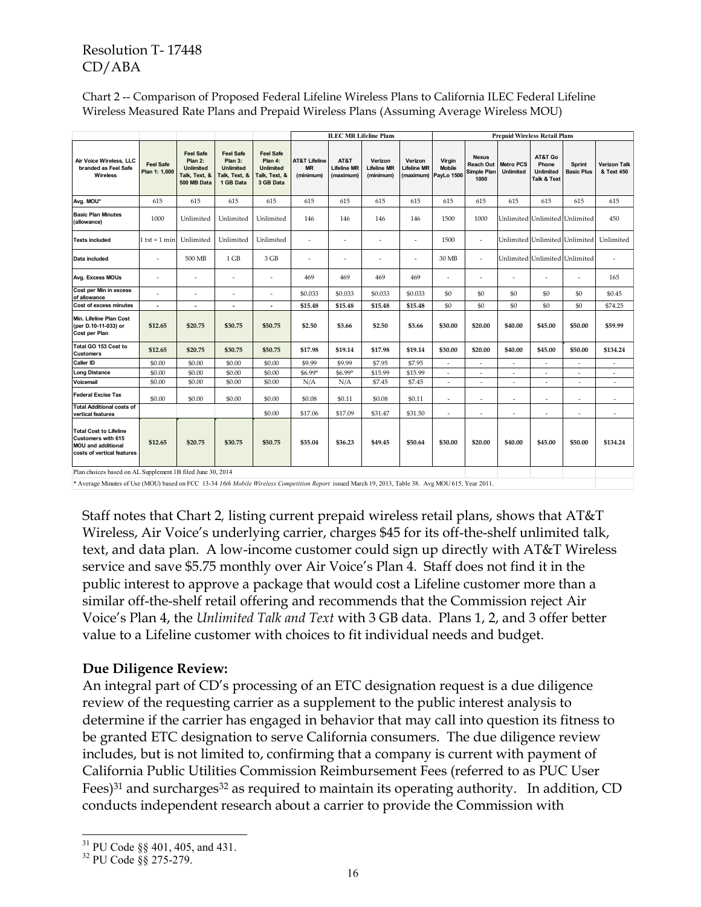|                                                                                                                       |                                   |                                                                                 |                                                                               |                                                                               | <b>ILEC MR Lifeline Plans</b>                      | <b>Prepaid Wireless Retail Plans</b>    |                                            |                               |                                                 |                                                         |                                      |                                                     |                                    |                                   |
|-----------------------------------------------------------------------------------------------------------------------|-----------------------------------|---------------------------------------------------------------------------------|-------------------------------------------------------------------------------|-------------------------------------------------------------------------------|----------------------------------------------------|-----------------------------------------|--------------------------------------------|-------------------------------|-------------------------------------------------|---------------------------------------------------------|--------------------------------------|-----------------------------------------------------|------------------------------------|-----------------------------------|
| Air Voice Wireless, LLC<br>branded as Feel Safe<br>Wireless                                                           | <b>Feel Safe</b><br>Plan 1: 1,000 | <b>Feel Safe</b><br>Plan 2:<br><b>Unlimited</b><br>Talk, Text, &<br>500 MB Data | <b>Feel Safe</b><br>Plan 3:<br><b>Unlimited</b><br>Talk, Text, &<br>1 GB Data | <b>Feel Safe</b><br>Plan 4:<br><b>Unlimited</b><br>Talk, Text, &<br>3 GB Data | <b>AT&amp;T Lifeline</b><br><b>MR</b><br>(minimum) | AT&T<br><b>Lifeline MR</b><br>(maximum) | Verizon<br><b>Lifeline MR</b><br>(minimum) | Verizon<br><b>Lifeline MR</b> | Virgin<br><b>Mobile</b><br>(maximum) PayLo 1500 | <b>Nexus</b><br><b>Reach Out</b><br>Simple Plan<br>1000 | <b>Metro PCS</b><br><b>Unlimited</b> | AT&T Go<br>Phone<br><b>Unlimited</b><br>Talk & Text | <b>Sprint</b><br><b>Basic Plus</b> | <b>Verizon Talk</b><br>& Text 450 |
| Avg. MOU*                                                                                                             | 615                               | 615                                                                             | 615                                                                           | 615                                                                           | 615                                                | 615                                     | 615                                        | 615                           | 615                                             | 615                                                     | 615                                  | 615                                                 | 615                                | 615                               |
| <b>Basic Plan Minutes</b><br>(allowance)                                                                              | 1000                              | Unlimited                                                                       | Unlimited                                                                     | Unlimited                                                                     | 146                                                | 146                                     | 146                                        | 146                           | 1500                                            | 1000                                                    |                                      |                                                     | Unlimited Unlimited Unlimited      | 450                               |
| <b>Texts included</b>                                                                                                 | $1$ txt = $1$ min                 | Unlimited                                                                       | Unlimited                                                                     | Unlimited                                                                     |                                                    |                                         |                                            | ٠                             | 1500                                            | $\overline{\phantom{a}}$                                |                                      |                                                     | Unlimited Unlimited Unlimited      | Unlimited                         |
| Data included                                                                                                         | ÷,                                | 500 MB                                                                          | 1 GB                                                                          | 3 GB                                                                          |                                                    |                                         |                                            | ÷,                            | 30 MB                                           | ÷                                                       |                                      |                                                     | Unlimited Unlimited Unlimited      | ٠                                 |
| Avg. Excess MOUs                                                                                                      | ÷                                 | $\overline{\phantom{a}}$                                                        | ÷,                                                                            | ٠                                                                             | 469                                                | 469                                     | 469                                        | 469                           | $\overline{\phantom{a}}$                        | ÷,                                                      |                                      | ÷,                                                  | $\sim$                             | 165                               |
| Cost per Min in excess<br>of allowance                                                                                | ۰                                 | ÷,                                                                              | ä,                                                                            | ٠                                                                             | \$0.033                                            | \$0.033                                 | \$0.033                                    | \$0.033                       | \$0                                             | \$0                                                     | \$0                                  | \$0                                                 | \$0                                | \$0.45                            |
| Cost of excess minutes                                                                                                | J.                                | $\overline{\phantom{a}}$                                                        | ٠                                                                             | ٠                                                                             | \$15.48                                            | \$15.48                                 | \$15.48                                    | \$15.48                       | \$0                                             | \$0                                                     | \$0                                  | \$0                                                 | \$0                                | \$74.25                           |
| Min. Lifeline Plan Cost<br>(per D.10-11-033) or<br>Cost per Plan                                                      | \$12.65                           | \$20.75                                                                         | \$30.75                                                                       | \$50.75                                                                       | \$2.50                                             | \$3.66                                  | \$2.50                                     | \$3.66                        | \$30.00                                         | \$20.00                                                 | \$40.00                              | \$45.00                                             | \$50.00                            | \$59.99                           |
| Total GO 153 Cost to<br><b>Customers</b>                                                                              | \$12.65                           | \$20.75                                                                         | \$30.75                                                                       | \$50.75                                                                       | \$17.98                                            | \$19.14                                 | \$17.98                                    | \$19.14                       | \$30.00                                         | \$20.00                                                 | \$40.00                              | \$45.00                                             | \$50.00                            | \$134.24                          |
| <b>Caller ID</b>                                                                                                      | \$0.00                            | \$0.00                                                                          | \$0.00                                                                        | \$0.00                                                                        | \$9.99                                             | \$9.99                                  | \$7.95                                     | \$7.95                        | $\overline{\phantom{a}}$                        | ÷,                                                      | $\overline{\phantom{a}}$             | $\overline{\phantom{a}}$                            | $\overline{\phantom{a}}$           | $\overline{\phantom{a}}$          |
| <b>Long Distance</b>                                                                                                  | \$0.00                            | \$0.00                                                                          | \$0.00                                                                        | \$0.00                                                                        | \$6.99*                                            | \$6.99*                                 | \$15.99                                    | \$15.99                       | $\overline{\phantom{a}}$                        | $\overline{a}$                                          | $\overline{\phantom{a}}$             | $\overline{\phantom{a}}$                            | $\overline{\phantom{a}}$           | $\overline{\phantom{a}}$          |
| Voicemail                                                                                                             | \$0.00                            | \$0.00                                                                          | \$0.00                                                                        | \$0.00                                                                        | N/A                                                | N/A                                     | \$7.45                                     | \$7.45                        | $\overline{\phantom{a}}$                        | $\sim$                                                  | $\sim$                               | $\sim$                                              | $\sim$                             | $\sim$                            |
| <b>Federal Excise Tax</b>                                                                                             | \$0.00                            | \$0.00                                                                          | \$0.00                                                                        | \$0.00                                                                        | \$0.08                                             | \$0.11                                  | \$0.08                                     | \$0.11                        | $\sim$                                          | ٠                                                       | $\sim$                               | $\sim$                                              | $\sim$                             | $\sim$                            |
| <b>Total Additional costs of</b><br>vertical features                                                                 |                                   |                                                                                 |                                                                               | \$0.00                                                                        | \$17.06                                            | \$17.09                                 | \$31.47                                    | \$31.50                       | $\overline{\phantom{a}}$                        | $\qquad \qquad \blacksquare$                            | $\sim$                               | ÷,                                                  | $\overline{\phantom{a}}$           | $\sim$                            |
| <b>Total Cost to Lifeline</b><br><b>Customers with 615</b><br><b>MOU</b> and additional<br>costs of vertical features | \$12.65                           | \$20.75                                                                         | \$30.75                                                                       | \$50.75                                                                       | \$35.04                                            | \$36.23                                 | \$49.45                                    | \$50.64                       | \$30.00                                         | \$20.00                                                 | \$40.00                              | \$45.00                                             | \$50.00                            | \$134.24                          |
| Plan choices based on AL Supplement 1B filed June 30, 2014                                                            |                                   |                                                                                 |                                                                               |                                                                               |                                                    |                                         |                                            |                               |                                                 |                                                         |                                      |                                                     |                                    |                                   |

Chart 2 -- Comparison of Proposed Federal Lifeline Wireless Plans to California ILEC Federal Lifeline Wireless Measured Rate Plans and Prepaid Wireless Plans (Assuming Average Wireless MOU)

\* Average Minutes of Use (MOU) based on FCC 13-34 *16th Mobile Wireless Competition Report* issued March 19, 2013, Table 38. Avg MOU 615, Year 2011.

Staff notes that Chart 2*,* listing current prepaid wireless retail plans, shows that AT&T Wireless, Air Voice's underlying carrier, charges \$45 for its off-the-shelf unlimited talk, text, and data plan. A low-income customer could sign up directly with AT&T Wireless service and save \$5.75 monthly over Air Voice's Plan 4. Staff does not find it in the public interest to approve a package that would cost a Lifeline customer more than a similar off-the-shelf retail offering and recommends that the Commission reject Air Voice's Plan 4, the *Unlimited Talk and Text* with 3 GB data. Plans 1, 2, and 3 offer better value to a Lifeline customer with choices to fit individual needs and budget.

#### **Due Diligence Review:**

An integral part of CD's processing of an ETC designation request is a due diligence review of the requesting carrier as a supplement to the public interest analysis to determine if the carrier has engaged in behavior that may call into question its fitness to be granted ETC designation to serve California consumers. The due diligence review includes, but is not limited to, confirming that a company is current with payment of California Public Utilities Commission Reimbursement Fees (referred to as PUC User Fees)<sup>31</sup> and surcharges<sup>32</sup> as required to maintain its operating authority. In addition, CD conducts independent research about a carrier to provide the Commission with

 $\overline{a}$  $31$  PU Code  $\S$ § 401, 405, and 431.

<sup>32</sup> PU Code §§ 275-279.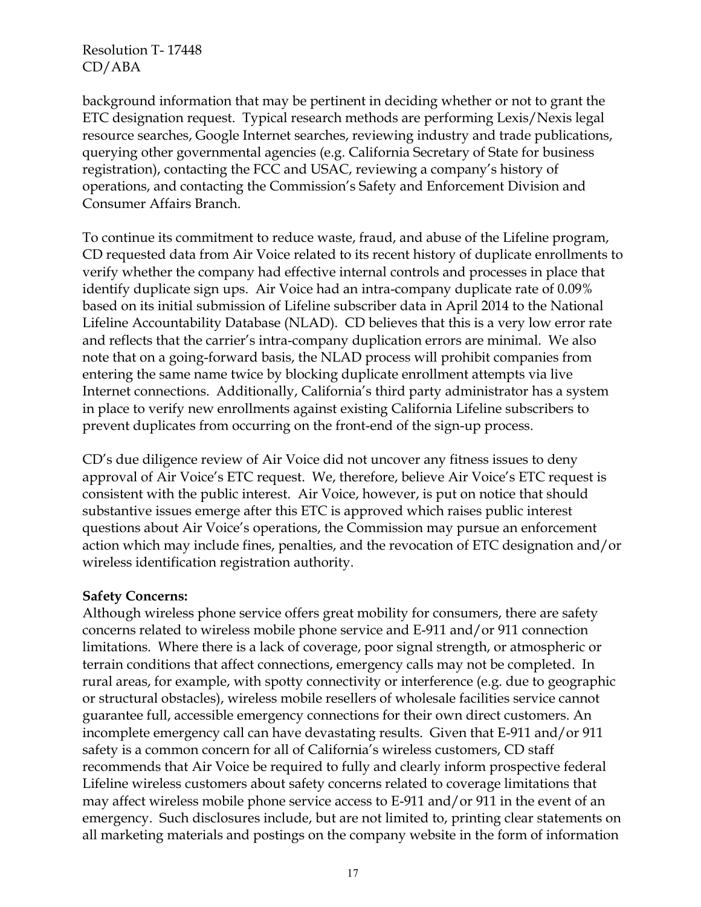background information that may be pertinent in deciding whether or not to grant the ETC designation request. Typical research methods are performing Lexis/Nexis legal resource searches, Google Internet searches, reviewing industry and trade publications, querying other governmental agencies (e.g. California Secretary of State for business registration), contacting the FCC and USAC, reviewing a company's history of operations, and contacting the Commission's Safety and Enforcement Division and Consumer Affairs Branch.

To continue its commitment to reduce waste, fraud, and abuse of the Lifeline program, CD requested data from Air Voice related to its recent history of duplicate enrollments to verify whether the company had effective internal controls and processes in place that identify duplicate sign ups. Air Voice had an intra-company duplicate rate of 0.09% based on its initial submission of Lifeline subscriber data in April 2014 to the National Lifeline Accountability Database (NLAD). CD believes that this is a very low error rate and reflects that the carrier's intra-company duplication errors are minimal. We also note that on a going-forward basis, the NLAD process will prohibit companies from entering the same name twice by blocking duplicate enrollment attempts via live Internet connections. Additionally, California's third party administrator has a system in place to verify new enrollments against existing California Lifeline subscribers to prevent duplicates from occurring on the front-end of the sign-up process.

CD's due diligence review of Air Voice did not uncover any fitness issues to deny approval of Air Voice's ETC request. We, therefore, believe Air Voice's ETC request is consistent with the public interest. Air Voice, however, is put on notice that should substantive issues emerge after this ETC is approved which raises public interest questions about Air Voice's operations, the Commission may pursue an enforcement action which may include fines, penalties, and the revocation of ETC designation and/or wireless identification registration authority.

#### **Safety Concerns:**

Although wireless phone service offers great mobility for consumers, there are safety concerns related to wireless mobile phone service and E-911 and/or 911 connection limitations. Where there is a lack of coverage, poor signal strength, or atmospheric or terrain conditions that affect connections, emergency calls may not be completed. In rural areas, for example, with spotty connectivity or interference (e.g. due to geographic or structural obstacles), wireless mobile resellers of wholesale facilities service cannot guarantee full, accessible emergency connections for their own direct customers. An incomplete emergency call can have devastating results. Given that E-911 and/or 911 safety is a common concern for all of California's wireless customers, CD staff recommends that Air Voice be required to fully and clearly inform prospective federal Lifeline wireless customers about safety concerns related to coverage limitations that may affect wireless mobile phone service access to E-911 and/or 911 in the event of an emergency. Such disclosures include, but are not limited to, printing clear statements on all marketing materials and postings on the company website in the form of information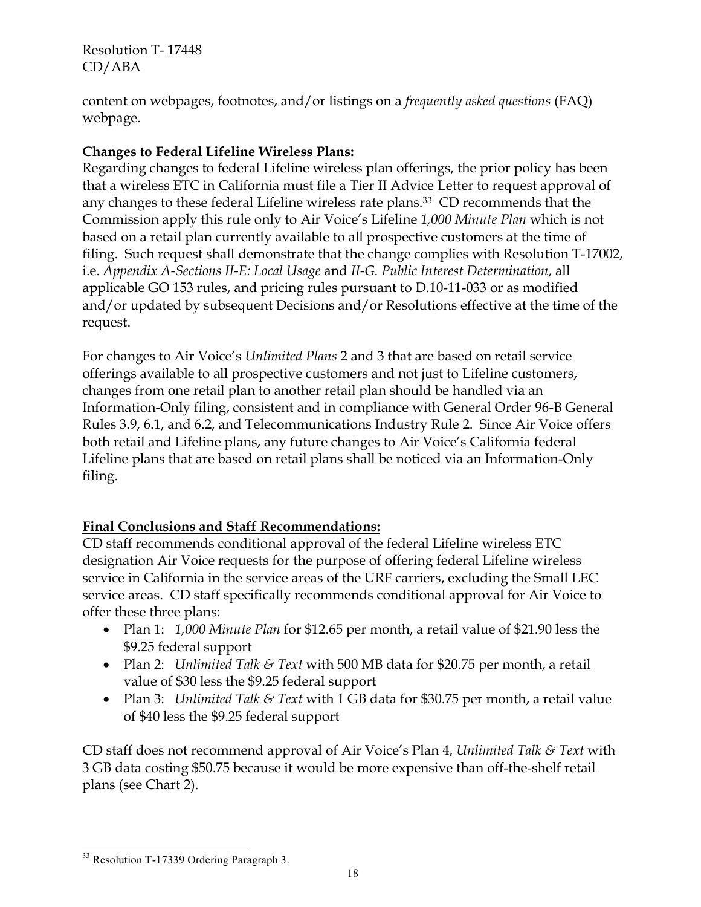content on webpages, footnotes, and/or listings on a *frequently asked questions* (FAQ) webpage.

## **Changes to Federal Lifeline Wireless Plans:**

Regarding changes to federal Lifeline wireless plan offerings, the prior policy has been that a wireless ETC in California must file a Tier II Advice Letter to request approval of any changes to these federal Lifeline wireless rate plans.<sup>33</sup> CD recommends that the Commission apply this rule only to Air Voice's Lifeline *1,000 Minute Plan* which is not based on a retail plan currently available to all prospective customers at the time of filing. Such request shall demonstrate that the change complies with Resolution T-17002, i.e. *Appendix A-Sections II-E: Local Usage* and *II-G. Public Interest Determination*, all applicable GO 153 rules, and pricing rules pursuant to D.10-11-033 or as modified and/or updated by subsequent Decisions and/or Resolutions effective at the time of the request.

For changes to Air Voice's *Unlimited Plans* 2 and 3 that are based on retail service offerings available to all prospective customers and not just to Lifeline customers, changes from one retail plan to another retail plan should be handled via an Information-Only filing, consistent and in compliance with General Order 96-B General Rules 3.9, 6.1, and 6.2, and Telecommunications Industry Rule 2. Since Air Voice offers both retail and Lifeline plans, any future changes to Air Voice's California federal Lifeline plans that are based on retail plans shall be noticed via an Information-Only filing.

# **Final Conclusions and Staff Recommendations:**

CD staff recommends conditional approval of the federal Lifeline wireless ETC designation Air Voice requests for the purpose of offering federal Lifeline wireless service in California in the service areas of the URF carriers, excluding the Small LEC service areas. CD staff specifically recommends conditional approval for Air Voice to offer these three plans:

- Plan 1: *1,000 Minute Plan* for \$12.65 per month, a retail value of \$21.90 less the \$9.25 federal support
- Plan 2: *Unlimited Talk & Text* with 500 MB data for \$20.75 per month, a retail value of \$30 less the \$9.25 federal support
- Plan 3: *Unlimited Talk & Text* with 1 GB data for \$30.75 per month, a retail value of \$40 less the \$9.25 federal support

CD staff does not recommend approval of Air Voice's Plan 4, *Unlimited Talk & Text* with 3 GB data costing \$50.75 because it would be more expensive than off-the-shelf retail plans (see Chart 2).

 $\overline{a}$ <sup>33</sup> Resolution T-17339 Ordering Paragraph 3.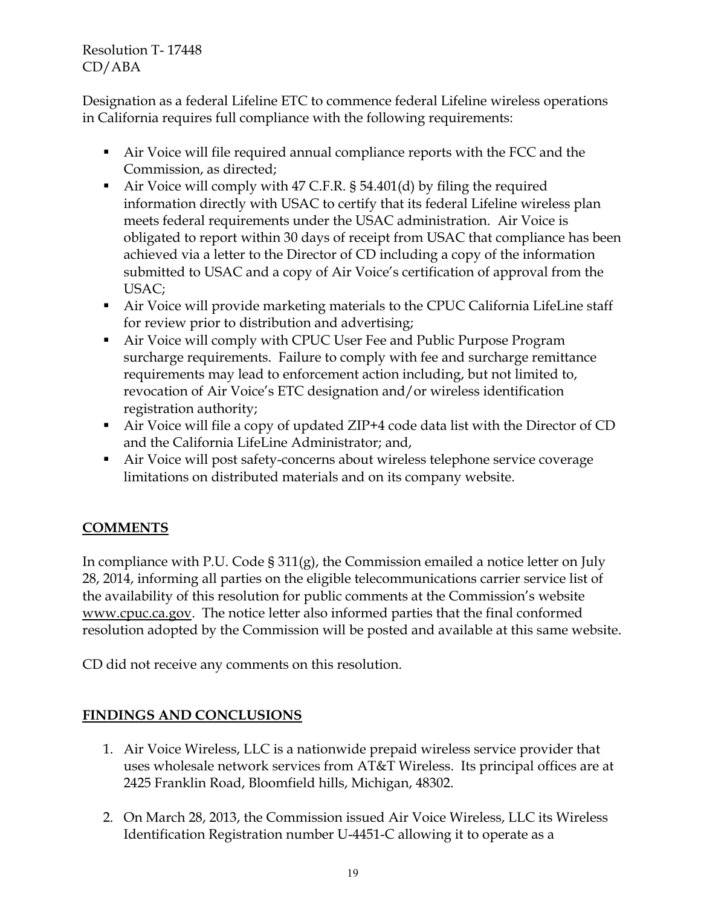Designation as a federal Lifeline ETC to commence federal Lifeline wireless operations in California requires full compliance with the following requirements:

- Air Voice will file required annual compliance reports with the FCC and the Commission, as directed;
- Air Voice will comply with 47 C.F.R. § 54.401(d) by filing the required information directly with USAC to certify that its federal Lifeline wireless plan meets federal requirements under the USAC administration. Air Voice is obligated to report within 30 days of receipt from USAC that compliance has been achieved via a letter to the Director of CD including a copy of the information submitted to USAC and a copy of Air Voice's certification of approval from the USAC;
- Air Voice will provide marketing materials to the CPUC California LifeLine staff for review prior to distribution and advertising;
- Air Voice will comply with CPUC User Fee and Public Purpose Program surcharge requirements. Failure to comply with fee and surcharge remittance requirements may lead to enforcement action including, but not limited to, revocation of Air Voice's ETC designation and/or wireless identification registration authority;
- Air Voice will file a copy of updated ZIP+4 code data list with the Director of CD and the California LifeLine Administrator; and,
- Air Voice will post safety-concerns about wireless telephone service coverage limitations on distributed materials and on its company website.

# **COMMENTS**

In compliance with P.U. Code § 311(g), the Commission emailed a notice letter on July 28, 2014, informing all parties on the eligible telecommunications carrier service list of the availability of this resolution for public comments at the Commission's website www.cpuc.ca.gov. The notice letter also informed parties that the final conformed resolution adopted by the Commission will be posted and available at this same website.

CD did not receive any comments on this resolution.

# **FINDINGS AND CONCLUSIONS**

- 1. Air Voice Wireless, LLC is a nationwide prepaid wireless service provider that uses wholesale network services from AT&T Wireless. Its principal offices are at 2425 Franklin Road, Bloomfield hills, Michigan, 48302.
- 2. On March 28, 2013, the Commission issued Air Voice Wireless, LLC its Wireless Identification Registration number U-4451-C allowing it to operate as a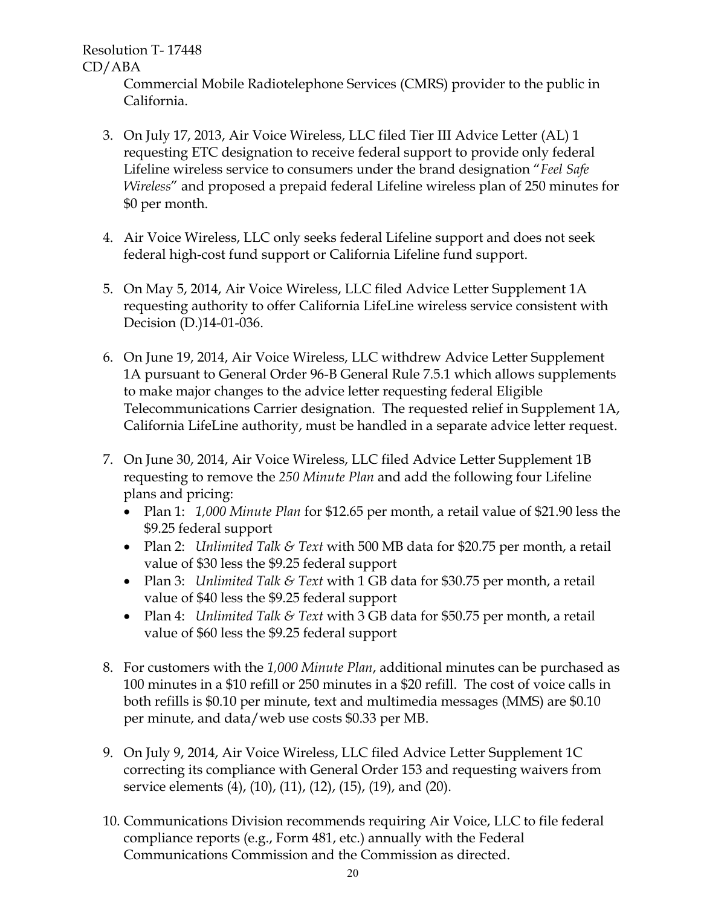> Commercial Mobile Radiotelephone Services (CMRS) provider to the public in California.

- 3. On July 17, 2013, Air Voice Wireless, LLC filed Tier III Advice Letter (AL) 1 requesting ETC designation to receive federal support to provide only federal Lifeline wireless service to consumers under the brand designation "*Feel Safe Wireless*" and proposed a prepaid federal Lifeline wireless plan of 250 minutes for \$0 per month.
- 4. Air Voice Wireless, LLC only seeks federal Lifeline support and does not seek federal high-cost fund support or California Lifeline fund support.
- 5. On May 5, 2014, Air Voice Wireless, LLC filed Advice Letter Supplement 1A requesting authority to offer California LifeLine wireless service consistent with Decision (D.)14-01-036.
- 6. On June 19, 2014, Air Voice Wireless, LLC withdrew Advice Letter Supplement 1A pursuant to General Order 96-B General Rule 7.5.1 which allows supplements to make major changes to the advice letter requesting federal Eligible Telecommunications Carrier designation. The requested relief in Supplement 1A, California LifeLine authority, must be handled in a separate advice letter request.
- 7. On June 30, 2014, Air Voice Wireless, LLC filed Advice Letter Supplement 1B requesting to remove the *250 Minute Plan* and add the following four Lifeline plans and pricing:
	- Plan 1: *1,000 Minute Plan* for \$12.65 per month, a retail value of \$21.90 less the \$9.25 federal support
	- Plan 2: *Unlimited Talk & Text* with 500 MB data for \$20.75 per month, a retail value of \$30 less the \$9.25 federal support
	- Plan 3: *Unlimited Talk & Text* with 1 GB data for \$30.75 per month, a retail value of \$40 less the \$9.25 federal support
	- Plan 4: *Unlimited Talk & Text* with 3 GB data for \$50.75 per month, a retail value of \$60 less the \$9.25 federal support
- 8. For customers with the *1,000 Minute Plan*, additional minutes can be purchased as 100 minutes in a \$10 refill or 250 minutes in a \$20 refill. The cost of voice calls in both refills is \$0.10 per minute, text and multimedia messages (MMS) are \$0.10 per minute, and data/web use costs \$0.33 per MB.
- 9. On July 9, 2014, Air Voice Wireless, LLC filed Advice Letter Supplement 1C correcting its compliance with General Order 153 and requesting waivers from service elements (4), (10), (11), (12), (15), (19), and (20).
- 10. Communications Division recommends requiring Air Voice, LLC to file federal compliance reports (e.g., Form 481, etc.) annually with the Federal Communications Commission and the Commission as directed.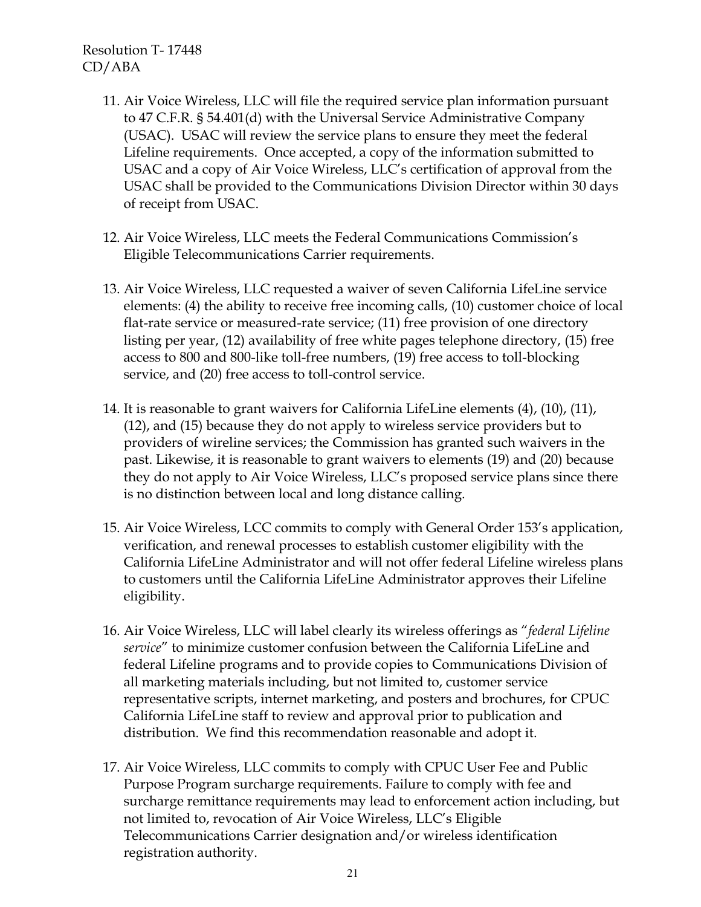- 11. Air Voice Wireless, LLC will file the required service plan information pursuant to 47 C.F.R. § 54.401(d) with the Universal Service Administrative Company (USAC). USAC will review the service plans to ensure they meet the federal Lifeline requirements. Once accepted, a copy of the information submitted to USAC and a copy of Air Voice Wireless, LLC's certification of approval from the USAC shall be provided to the Communications Division Director within 30 days of receipt from USAC.
- 12. Air Voice Wireless, LLC meets the Federal Communications Commission's Eligible Telecommunications Carrier requirements.
- 13. Air Voice Wireless, LLC requested a waiver of seven California LifeLine service elements: (4) the ability to receive free incoming calls, (10) customer choice of local flat-rate service or measured-rate service; (11) free provision of one directory listing per year, (12) availability of free white pages telephone directory, (15) free access to 800 and 800-like toll-free numbers, (19) free access to toll-blocking service, and (20) free access to toll-control service.
- 14. It is reasonable to grant waivers for California LifeLine elements (4), (10), (11), (12), and (15) because they do not apply to wireless service providers but to providers of wireline services; the Commission has granted such waivers in the past. Likewise, it is reasonable to grant waivers to elements (19) and (20) because they do not apply to Air Voice Wireless, LLC's proposed service plans since there is no distinction between local and long distance calling.
- 15. Air Voice Wireless, LCC commits to comply with General Order 153's application, verification, and renewal processes to establish customer eligibility with the California LifeLine Administrator and will not offer federal Lifeline wireless plans to customers until the California LifeLine Administrator approves their Lifeline eligibility.
- 16. Air Voice Wireless, LLC will label clearly its wireless offerings as "*federal Lifeline service*" to minimize customer confusion between the California LifeLine and federal Lifeline programs and to provide copies to Communications Division of all marketing materials including, but not limited to, customer service representative scripts, internet marketing, and posters and brochures, for CPUC California LifeLine staff to review and approval prior to publication and distribution. We find this recommendation reasonable and adopt it.
- 17. Air Voice Wireless, LLC commits to comply with CPUC User Fee and Public Purpose Program surcharge requirements. Failure to comply with fee and surcharge remittance requirements may lead to enforcement action including, but not limited to, revocation of Air Voice Wireless, LLC's Eligible Telecommunications Carrier designation and/or wireless identification registration authority.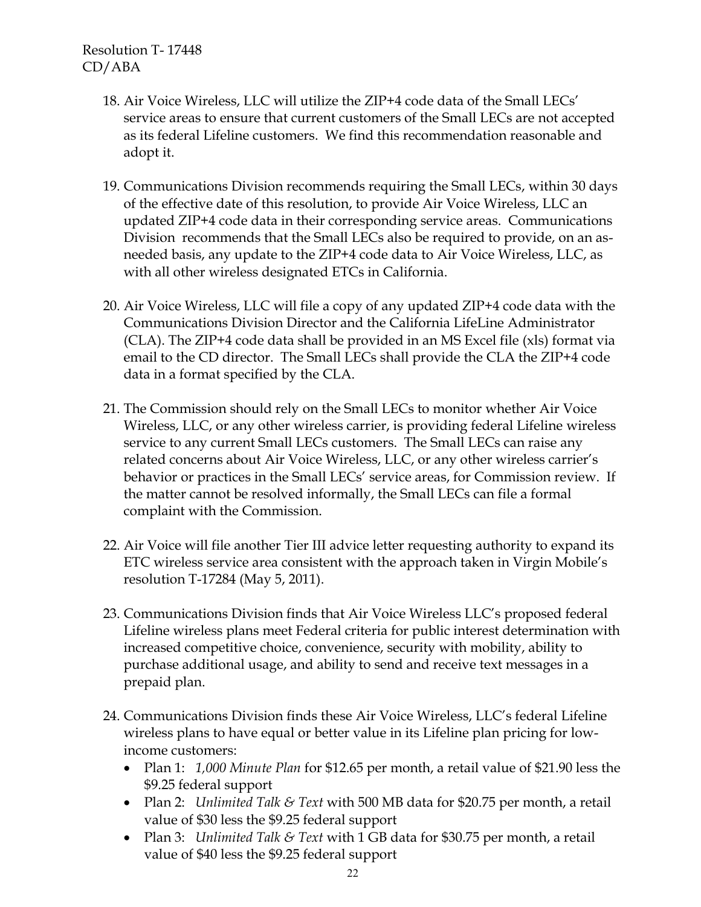- 18. Air Voice Wireless, LLC will utilize the ZIP+4 code data of the Small LECs' service areas to ensure that current customers of the Small LECs are not accepted as its federal Lifeline customers. We find this recommendation reasonable and adopt it.
- 19. Communications Division recommends requiring the Small LECs, within 30 days of the effective date of this resolution, to provide Air Voice Wireless, LLC an updated ZIP+4 code data in their corresponding service areas. Communications Division recommends that the Small LECs also be required to provide, on an asneeded basis, any update to the ZIP+4 code data to Air Voice Wireless, LLC, as with all other wireless designated ETCs in California.
- 20. Air Voice Wireless, LLC will file a copy of any updated ZIP+4 code data with the Communications Division Director and the California LifeLine Administrator (CLA). The ZIP+4 code data shall be provided in an MS Excel file (xls) format via email to the CD director. The Small LECs shall provide the CLA the ZIP+4 code data in a format specified by the CLA.
- 21. The Commission should rely on the Small LECs to monitor whether Air Voice Wireless, LLC, or any other wireless carrier, is providing federal Lifeline wireless service to any current Small LECs customers. The Small LECs can raise any related concerns about Air Voice Wireless, LLC, or any other wireless carrier's behavior or practices in the Small LECs' service areas, for Commission review. If the matter cannot be resolved informally, the Small LECs can file a formal complaint with the Commission.
- 22. Air Voice will file another Tier III advice letter requesting authority to expand its ETC wireless service area consistent with the approach taken in Virgin Mobile's resolution T-17284 (May 5, 2011).
- 23. Communications Division finds that Air Voice Wireless LLC's proposed federal Lifeline wireless plans meet Federal criteria for public interest determination with increased competitive choice, convenience, security with mobility, ability to purchase additional usage, and ability to send and receive text messages in a prepaid plan.
- 24. Communications Division finds these Air Voice Wireless, LLC's federal Lifeline wireless plans to have equal or better value in its Lifeline plan pricing for lowincome customers:
	- Plan 1: *1,000 Minute Plan* for \$12.65 per month, a retail value of \$21.90 less the \$9.25 federal support
	- Plan 2: *Unlimited Talk & Text* with 500 MB data for \$20.75 per month, a retail value of \$30 less the \$9.25 federal support
	- Plan 3: *Unlimited Talk & Text* with 1 GB data for \$30.75 per month, a retail value of \$40 less the \$9.25 federal support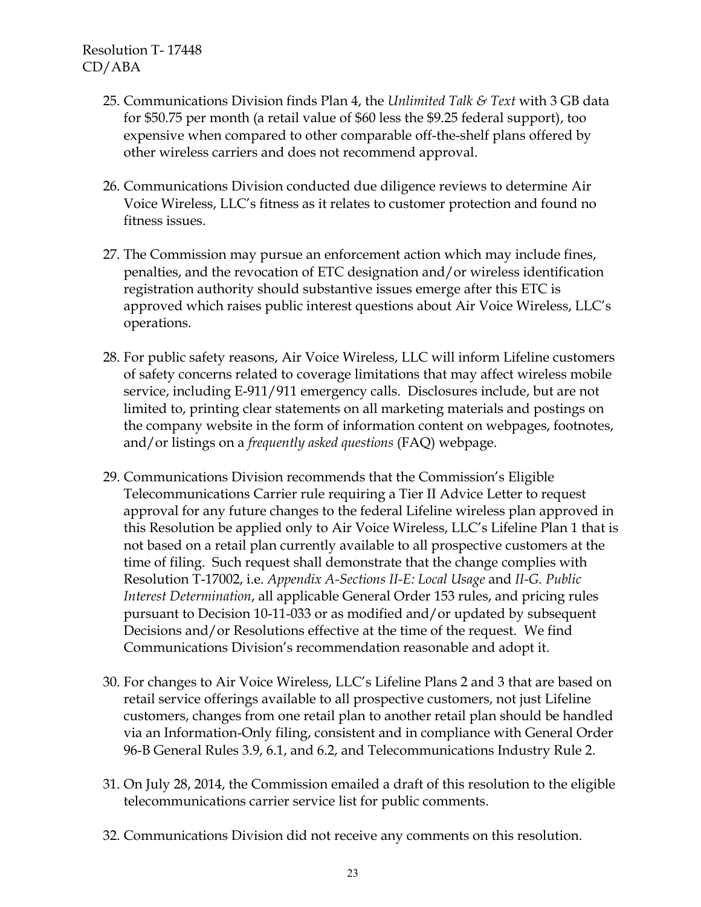- 25. Communications Division finds Plan 4, the *Unlimited Talk & Text* with 3 GB data for \$50.75 per month (a retail value of \$60 less the \$9.25 federal support), too expensive when compared to other comparable off-the-shelf plans offered by other wireless carriers and does not recommend approval.
- 26. Communications Division conducted due diligence reviews to determine Air Voice Wireless, LLC's fitness as it relates to customer protection and found no fitness issues.
- 27. The Commission may pursue an enforcement action which may include fines, penalties, and the revocation of ETC designation and/or wireless identification registration authority should substantive issues emerge after this ETC is approved which raises public interest questions about Air Voice Wireless, LLC's operations.
- 28. For public safety reasons, Air Voice Wireless, LLC will inform Lifeline customers of safety concerns related to coverage limitations that may affect wireless mobile service, including E-911/911 emergency calls. Disclosures include, but are not limited to, printing clear statements on all marketing materials and postings on the company website in the form of information content on webpages, footnotes, and/or listings on a *frequently asked questions* (FAQ) webpage.
- 29. Communications Division recommends that the Commission's Eligible Telecommunications Carrier rule requiring a Tier II Advice Letter to request approval for any future changes to the federal Lifeline wireless plan approved in this Resolution be applied only to Air Voice Wireless, LLC's Lifeline Plan 1 that is not based on a retail plan currently available to all prospective customers at the time of filing. Such request shall demonstrate that the change complies with Resolution T-17002, i.e. *Appendix A-Sections II-E: Local Usage* and *II-G. Public Interest Determination*, all applicable General Order 153 rules, and pricing rules pursuant to Decision 10-11-033 or as modified and/or updated by subsequent Decisions and/or Resolutions effective at the time of the request. We find Communications Division's recommendation reasonable and adopt it.
- 30. For changes to Air Voice Wireless, LLC's Lifeline Plans 2 and 3 that are based on retail service offerings available to all prospective customers, not just Lifeline customers, changes from one retail plan to another retail plan should be handled via an Information-Only filing, consistent and in compliance with General Order 96-B General Rules 3.9, 6.1, and 6.2, and Telecommunications Industry Rule 2.
- 31. On July 28, 2014, the Commission emailed a draft of this resolution to the eligible telecommunications carrier service list for public comments.
- 32. Communications Division did not receive any comments on this resolution.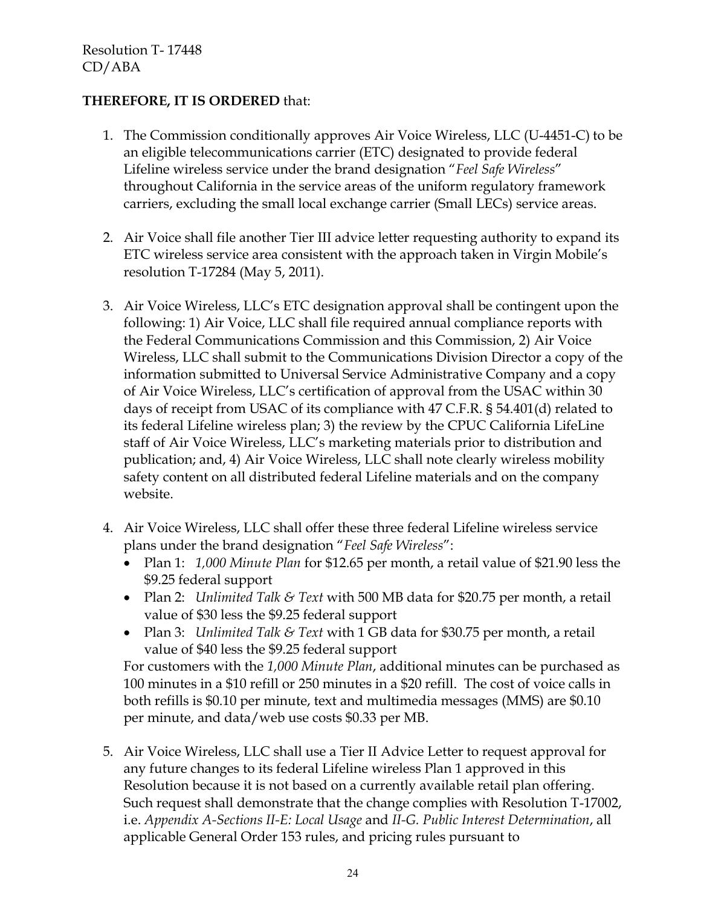## **THEREFORE, IT IS ORDERED** that:

- 1. The Commission conditionally approves Air Voice Wireless, LLC (U-4451-C) to be an eligible telecommunications carrier (ETC) designated to provide federal Lifeline wireless service under the brand designation "*Feel Safe Wireless*" throughout California in the service areas of the uniform regulatory framework carriers, excluding the small local exchange carrier (Small LECs) service areas.
- 2. Air Voice shall file another Tier III advice letter requesting authority to expand its ETC wireless service area consistent with the approach taken in Virgin Mobile's resolution T-17284 (May 5, 2011).
- 3. Air Voice Wireless, LLC's ETC designation approval shall be contingent upon the following: 1) Air Voice, LLC shall file required annual compliance reports with the Federal Communications Commission and this Commission, 2) Air Voice Wireless, LLC shall submit to the Communications Division Director a copy of the information submitted to Universal Service Administrative Company and a copy of Air Voice Wireless, LLC's certification of approval from the USAC within 30 days of receipt from USAC of its compliance with 47 C.F.R. § 54.401(d) related to its federal Lifeline wireless plan; 3) the review by the CPUC California LifeLine staff of Air Voice Wireless, LLC's marketing materials prior to distribution and publication; and, 4) Air Voice Wireless, LLC shall note clearly wireless mobility safety content on all distributed federal Lifeline materials and on the company website.
- 4. Air Voice Wireless, LLC shall offer these three federal Lifeline wireless service plans under the brand designation "*Feel Safe Wireless*":
	- Plan 1: *1,000 Minute Plan* for \$12.65 per month, a retail value of \$21.90 less the \$9.25 federal support
	- Plan 2: *Unlimited Talk & Text* with 500 MB data for \$20.75 per month, a retail value of \$30 less the \$9.25 federal support
	- Plan 3: *Unlimited Talk & Text* with 1 GB data for \$30.75 per month, a retail value of \$40 less the \$9.25 federal support

For customers with the *1,000 Minute Plan*, additional minutes can be purchased as 100 minutes in a \$10 refill or 250 minutes in a \$20 refill. The cost of voice calls in both refills is \$0.10 per minute, text and multimedia messages (MMS) are \$0.10 per minute, and data/web use costs \$0.33 per MB.

5. Air Voice Wireless, LLC shall use a Tier II Advice Letter to request approval for any future changes to its federal Lifeline wireless Plan 1 approved in this Resolution because it is not based on a currently available retail plan offering. Such request shall demonstrate that the change complies with Resolution T-17002, i.e. *Appendix A-Sections II-E: Local Usage* and *II-G. Public Interest Determination*, all applicable General Order 153 rules, and pricing rules pursuant to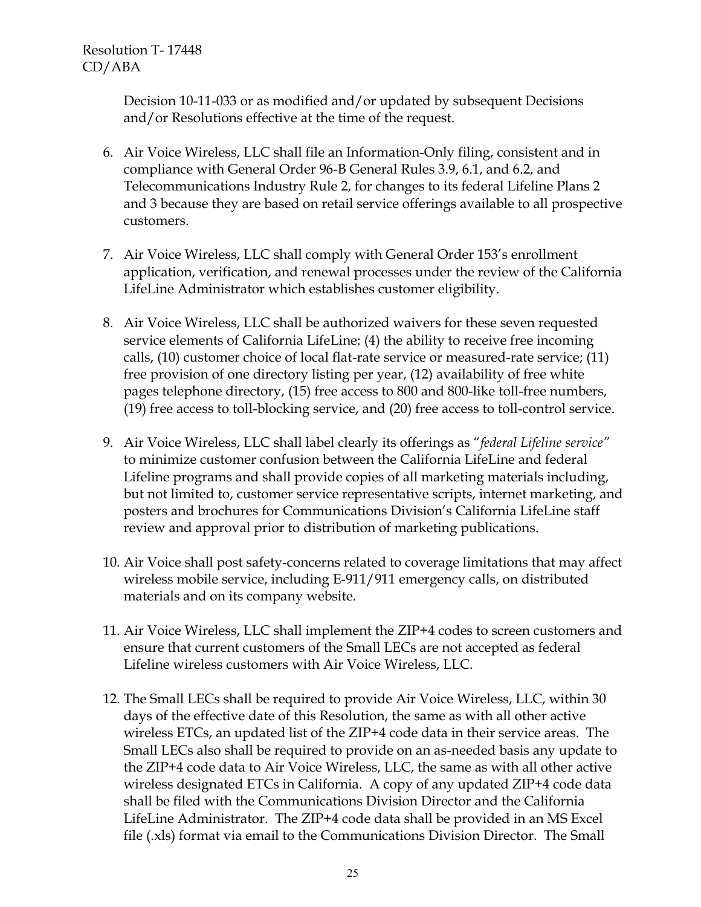Decision 10-11-033 or as modified and/or updated by subsequent Decisions and/or Resolutions effective at the time of the request.

- 6. Air Voice Wireless, LLC shall file an Information-Only filing, consistent and in compliance with General Order 96-B General Rules 3.9, 6.1, and 6.2, and Telecommunications Industry Rule 2, for changes to its federal Lifeline Plans 2 and 3 because they are based on retail service offerings available to all prospective customers.
- 7. Air Voice Wireless, LLC shall comply with General Order 153's enrollment application, verification, and renewal processes under the review of the California LifeLine Administrator which establishes customer eligibility.
- 8. Air Voice Wireless, LLC shall be authorized waivers for these seven requested service elements of California LifeLine: (4) the ability to receive free incoming calls, (10) customer choice of local flat-rate service or measured-rate service; (11) free provision of one directory listing per year, (12) availability of free white pages telephone directory, (15) free access to 800 and 800-like toll-free numbers, (19) free access to toll-blocking service, and (20) free access to toll-control service.
- 9. Air Voice Wireless, LLC shall label clearly its offerings as "*federal Lifeline service"* to minimize customer confusion between the California LifeLine and federal Lifeline programs and shall provide copies of all marketing materials including, but not limited to, customer service representative scripts, internet marketing, and posters and brochures for Communications Division's California LifeLine staff review and approval prior to distribution of marketing publications.
- 10. Air Voice shall post safety-concerns related to coverage limitations that may affect wireless mobile service, including E-911/911 emergency calls, on distributed materials and on its company website.
- 11. Air Voice Wireless, LLC shall implement the ZIP+4 codes to screen customers and ensure that current customers of the Small LECs are not accepted as federal Lifeline wireless customers with Air Voice Wireless, LLC.
- 12. The Small LECs shall be required to provide Air Voice Wireless, LLC, within 30 days of the effective date of this Resolution, the same as with all other active wireless ETCs, an updated list of the ZIP+4 code data in their service areas. The Small LECs also shall be required to provide on an as-needed basis any update to the ZIP+4 code data to Air Voice Wireless, LLC, the same as with all other active wireless designated ETCs in California. A copy of any updated ZIP+4 code data shall be filed with the Communications Division Director and the California LifeLine Administrator. The ZIP+4 code data shall be provided in an MS Excel file (.xls) format via email to the Communications Division Director. The Small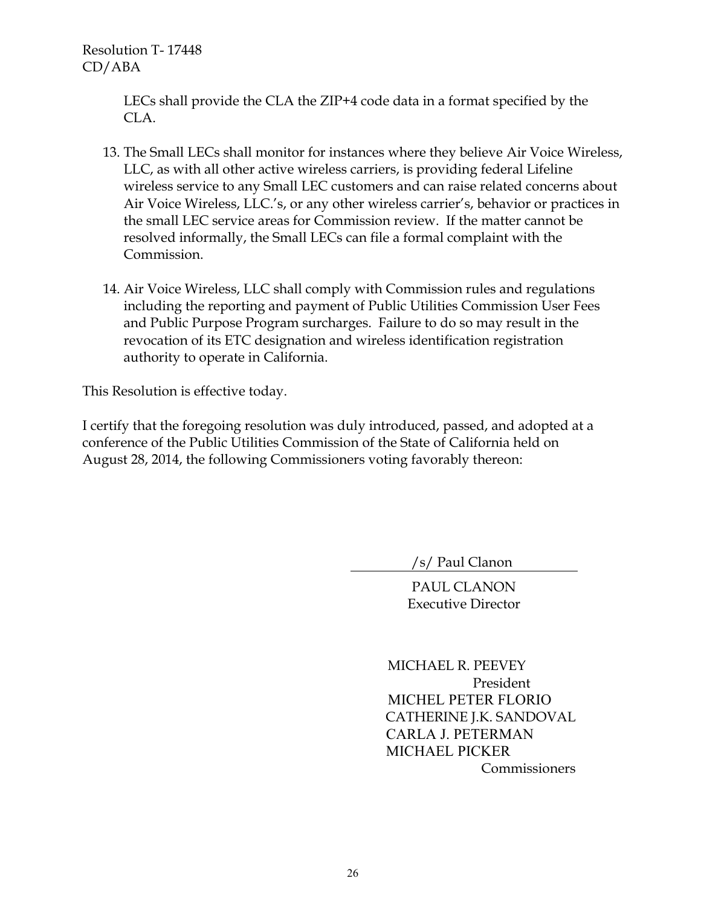LECs shall provide the CLA the ZIP+4 code data in a format specified by the CLA.

- 13. The Small LECs shall monitor for instances where they believe Air Voice Wireless, LLC, as with all other active wireless carriers, is providing federal Lifeline wireless service to any Small LEC customers and can raise related concerns about Air Voice Wireless, LLC.'s, or any other wireless carrier's, behavior or practices in the small LEC service areas for Commission review. If the matter cannot be resolved informally, the Small LECs can file a formal complaint with the Commission.
- 14. Air Voice Wireless, LLC shall comply with Commission rules and regulations including the reporting and payment of Public Utilities Commission User Fees and Public Purpose Program surcharges. Failure to do so may result in the revocation of its ETC designation and wireless identification registration authority to operate in California.

This Resolution is effective today.

I certify that the foregoing resolution was duly introduced, passed, and adopted at a conference of the Public Utilities Commission of the State of California held on August 28, 2014, the following Commissioners voting favorably thereon:

/s/ Paul Clanon

PAUL CLANON Executive Director

 MICHAEL R. PEEVEY President MICHEL PETER FLORIO CATHERINE J.K. SANDOVAL CARLA J. PETERMAN MICHAEL PICKER Commissioners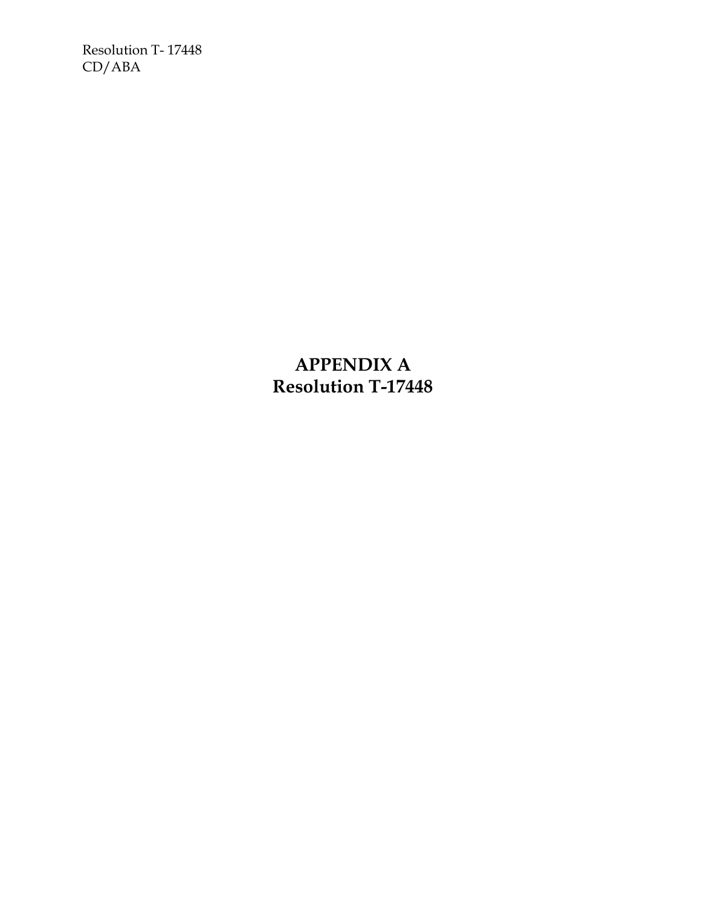> **APPENDIX A Resolution T-17448**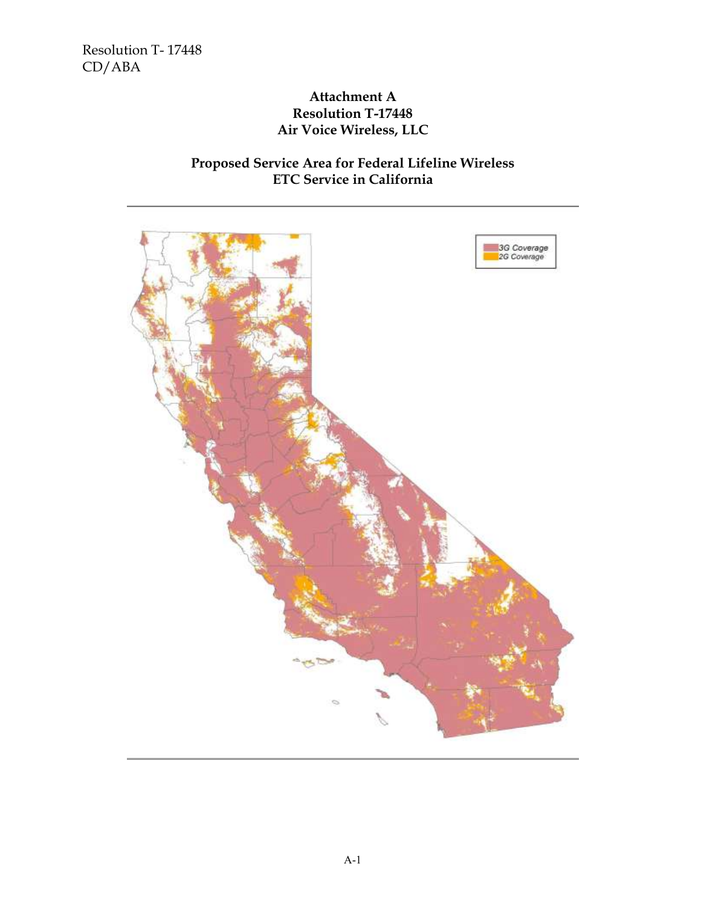## **Attachment A Resolution T-17448 Air Voice Wireless, LLC**

# **Proposed Service Area for Federal Lifeline Wireless ETC Service in California**